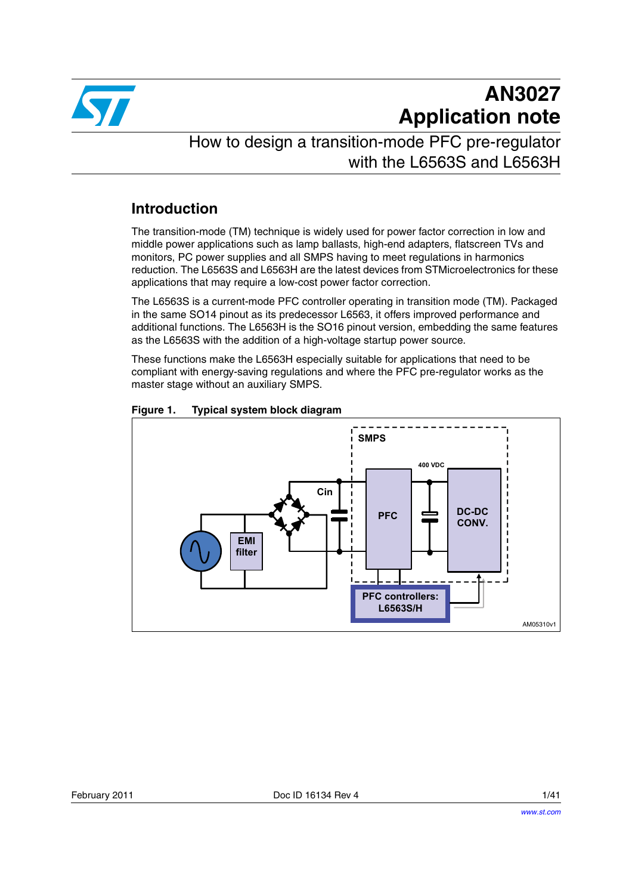

# **AN3027 Application note**

How to design a transition-mode PFC pre-regulator with the L6563S and L6563H

# **Introduction**

The transition-mode (TM) technique is widely used for power factor correction in low and middle power applications such as lamp ballasts, high-end adapters, flatscreen TVs and monitors, PC power supplies and all SMPS having to meet regulations in harmonics reduction. The L6563S and L6563H are the latest devices from STMicroelectronics for these applications that may require a low-cost power factor correction.

The L6563S is a current-mode PFC controller operating in transition mode (TM). Packaged in the same SO14 pinout as its predecessor L6563, it offers improved performance and additional functions. The L6563H is the SO16 pinout version, embedding the same features as the L6563S with the addition of a high-voltage startup power source.

These functions make the L6563H especially suitable for applications that need to be compliant with energy-saving regulations and where the PFC pre-regulator works as the master stage without an auxiliary SMPS.



<span id="page-0-0"></span>**Figure 1. Typical system block diagram**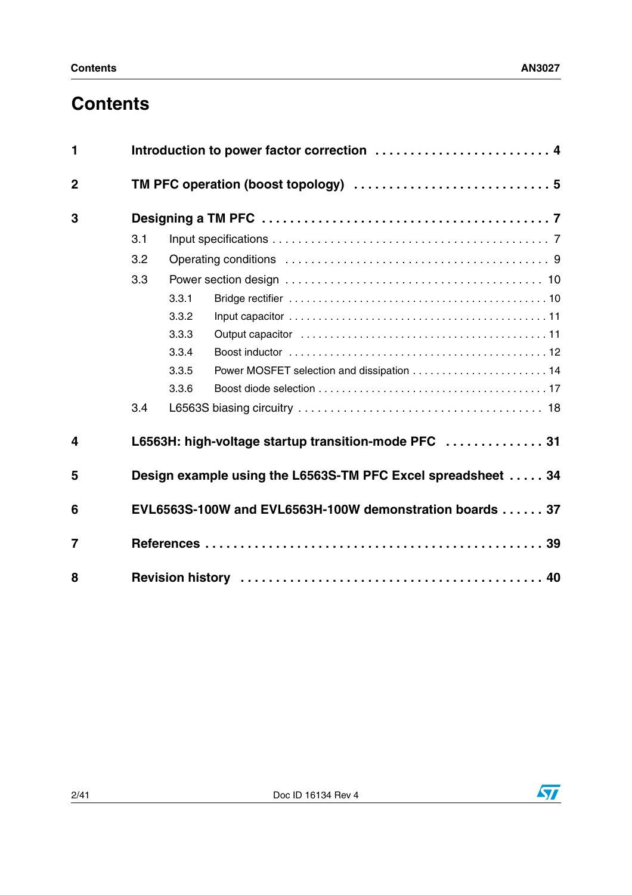# **Contents**

| $\mathbf{1}$   |                                                          | Introduction to power factor correction  4 |                                                              |  |  |
|----------------|----------------------------------------------------------|--------------------------------------------|--------------------------------------------------------------|--|--|
| $\mathbf 2$    |                                                          |                                            |                                                              |  |  |
| 3              |                                                          |                                            |                                                              |  |  |
|                | 3.1                                                      |                                            |                                                              |  |  |
|                | 3.2                                                      |                                            |                                                              |  |  |
|                | 3.3                                                      |                                            |                                                              |  |  |
|                |                                                          | 3.3.1                                      |                                                              |  |  |
|                |                                                          | 3.3.2                                      |                                                              |  |  |
|                |                                                          | 3.3.3                                      |                                                              |  |  |
|                |                                                          | 3.3.4                                      |                                                              |  |  |
|                |                                                          | 3.3.5                                      | Power MOSFET selection and dissipation  14                   |  |  |
|                |                                                          | 3.3.6                                      |                                                              |  |  |
|                | 3.4                                                      |                                            |                                                              |  |  |
| 4              |                                                          |                                            | L6563H: high-voltage startup transition-mode PFC  31         |  |  |
| 5              |                                                          |                                            | Design example using the L6563S-TM PFC Excel spreadsheet  34 |  |  |
| 6              | EVL6563S-100W and EVL6563H-100W demonstration boards  37 |                                            |                                                              |  |  |
| $\overline{7}$ |                                                          |                                            |                                                              |  |  |
| 8              |                                                          |                                            |                                                              |  |  |

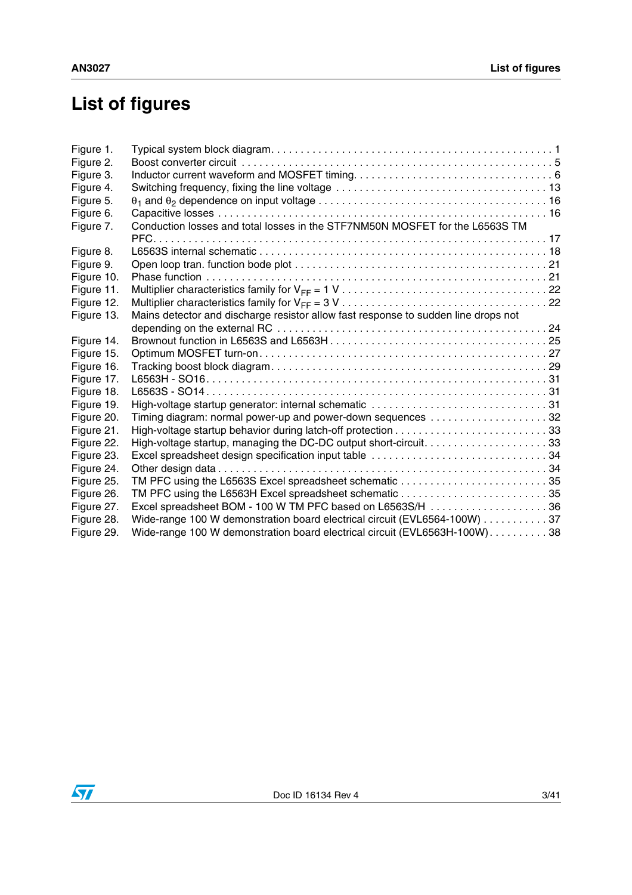# **List of figures**

| Figure 1.  |                                                                                    |
|------------|------------------------------------------------------------------------------------|
| Figure 2.  |                                                                                    |
| Figure 3.  |                                                                                    |
| Figure 4.  |                                                                                    |
| Figure 5.  |                                                                                    |
| Figure 6.  |                                                                                    |
| Figure 7.  | Conduction losses and total losses in the STF7NM50N MOSFET for the L6563S TM       |
|            |                                                                                    |
| Figure 8.  |                                                                                    |
| Figure 9.  |                                                                                    |
| Figure 10. |                                                                                    |
| Figure 11. |                                                                                    |
| Figure 12. |                                                                                    |
| Figure 13. | Mains detector and discharge resistor allow fast response to sudden line drops not |
|            |                                                                                    |
| Figure 14. |                                                                                    |
| Figure 15. |                                                                                    |
| Figure 16. |                                                                                    |
| Figure 17. |                                                                                    |
| Figure 18. |                                                                                    |
| Figure 19. |                                                                                    |
| Figure 20. | Timing diagram: normal power-up and power-down sequences 32                        |
| Figure 21. |                                                                                    |
| Figure 22. |                                                                                    |
| Figure 23. | Excel spreadsheet design specification input table 34                              |
| Figure 24. |                                                                                    |
| Figure 25. | TM PFC using the L6563S Excel spreadsheet schematic 35                             |
| Figure 26. |                                                                                    |
| Figure 27. | Excel spreadsheet BOM - 100 W TM PFC based on L6563S/H 36                          |
| Figure 28. | Wide-range 100 W demonstration board electrical circuit (EVL6564-100W) 37          |
| Figure 29. | Wide-range 100 W demonstration board electrical circuit (EVL6563H-100W). 38        |
|            |                                                                                    |

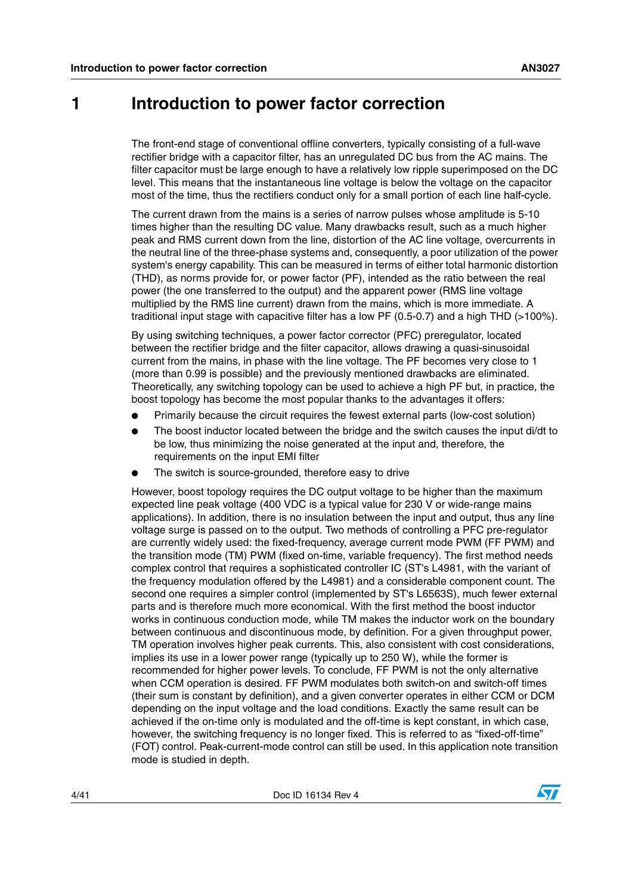# <span id="page-3-0"></span>**1 Introduction to power factor correction**

The front-end stage of conventional offline converters, typically consisting of a full-wave rectifier bridge with a capacitor filter, has an unregulated DC bus from the AC mains. The filter capacitor must be large enough to have a relatively low ripple superimposed on the DC level. This means that the instantaneous line voltage is below the voltage on the capacitor most of the time, thus the rectifiers conduct only for a small portion of each line half-cycle.

The current drawn from the mains is a series of narrow pulses whose amplitude is 5-10 times higher than the resulting DC value. Many drawbacks result, such as a much higher peak and RMS current down from the line, distortion of the AC line voltage, overcurrents in the neutral line of the three-phase systems and, consequently, a poor utilization of the power system's energy capability. This can be measured in terms of either total harmonic distortion (THD), as norms provide for, or power factor (PF), intended as the ratio between the real power (the one transferred to the output) and the apparent power (RMS line voltage multiplied by the RMS line current) drawn from the mains, which is more immediate. A traditional input stage with capacitive filter has a low PF (0.5-0.7) and a high THD (>100%).

By using switching techniques, a power factor corrector (PFC) preregulator, located between the rectifier bridge and the filter capacitor, allows drawing a quasi-sinusoidal current from the mains, in phase with the line voltage. The PF becomes very close to 1 (more than 0.99 is possible) and the previously mentioned drawbacks are eliminated. Theoretically, any switching topology can be used to achieve a high PF but, in practice, the boost topology has become the most popular thanks to the advantages it offers:

- Primarily because the circuit requires the fewest external parts (low-cost solution)
- The boost inductor located between the bridge and the switch causes the input di/dt to be low, thus minimizing the noise generated at the input and, therefore, the requirements on the input EMI filter
- The switch is source-grounded, therefore easy to drive

However, boost topology requires the DC output voltage to be higher than the maximum expected line peak voltage (400 VDC is a typical value for 230 V or wide-range mains applications). In addition, there is no insulation between the input and output, thus any line voltage surge is passed on to the output. Two methods of controlling a PFC pre-regulator are currently widely used: the fixed-frequency, average current mode PWM (FF PWM) and the transition mode (TM) PWM (fixed on-time, variable frequency). The first method needs complex control that requires a sophisticated controller IC (ST's L4981, with the variant of the frequency modulation offered by the L4981) and a considerable component count. The second one requires a simpler control (implemented by ST's L6563S), much fewer external parts and is therefore much more economical. With the first method the boost inductor works in continuous conduction mode, while TM makes the inductor work on the boundary between continuous and discontinuous mode, by definition. For a given throughput power, TM operation involves higher peak currents. This, also consistent with cost considerations, implies its use in a lower power range (typically up to 250 W), while the former is recommended for higher power levels. To conclude, FF PWM is not the only alternative when CCM operation is desired. FF PWM modulates both switch-on and switch-off times (their sum is constant by definition), and a given converter operates in either CCM or DCM depending on the input voltage and the load conditions. Exactly the same result can be achieved if the on-time only is modulated and the off-time is kept constant, in which case, however, the switching frequency is no longer fixed. This is referred to as "fixed-off-time" (FOT) control. Peak-current-mode control can still be used. In this application note transition mode is studied in depth.

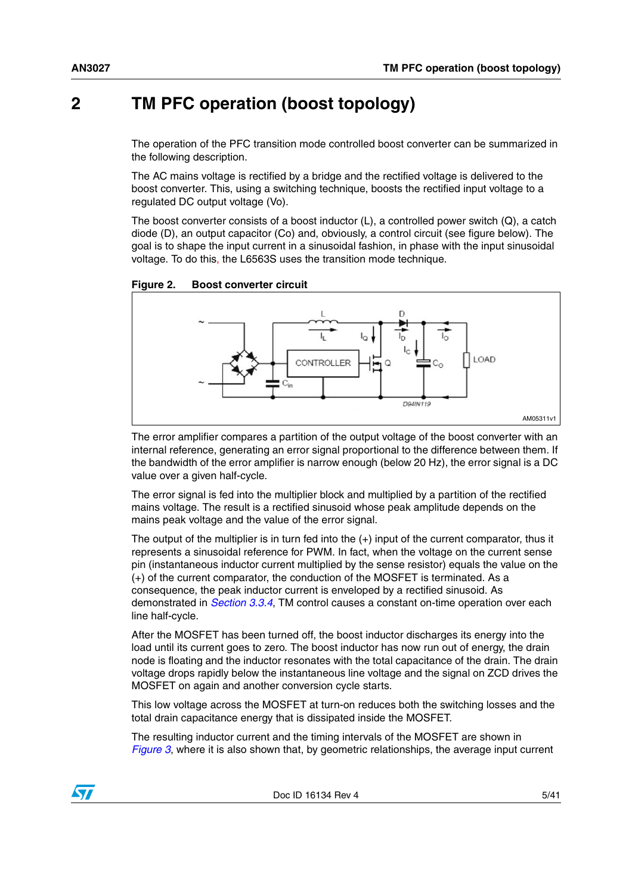# <span id="page-4-0"></span>**2 TM PFC operation (boost topology)**

The operation of the PFC transition mode controlled boost converter can be summarized in the following description.

The AC mains voltage is rectified by a bridge and the rectified voltage is delivered to the boost converter. This, using a switching technique, boosts the rectified input voltage to a regulated DC output voltage (Vo).

The boost converter consists of a boost inductor (L), a controlled power switch (Q), a catch diode (D), an output capacitor (Co) and, obviously, a control circuit (see figure below). The goal is to shape the input current in a sinusoidal fashion, in phase with the input sinusoidal voltage. To do this, the L6563S uses the transition mode technique.

<span id="page-4-1"></span>**Figure 2. Boost converter circuit**



The error amplifier compares a partition of the output voltage of the boost converter with an internal reference, generating an error signal proportional to the difference between them. If the bandwidth of the error amplifier is narrow enough (below 20 Hz), the error signal is a DC value over a given half-cycle.

The error signal is fed into the multiplier block and multiplied by a partition of the rectified mains voltage. The result is a rectified sinusoid whose peak amplitude depends on the mains peak voltage and the value of the error signal.

The output of the multiplier is in turn fed into the (+) input of the current comparator, thus it represents a sinusoidal reference for PWM. In fact, when the voltage on the current sense pin (instantaneous inductor current multiplied by the sense resistor) equals the value on the (+) of the current comparator, the conduction of the MOSFET is terminated. As a consequence, the peak inductor current is enveloped by a rectified sinusoid. As demonstrated in *[Section 3.3.4](#page-11-0)*, TM control causes a constant on-time operation over each line half-cycle.

After the MOSFET has been turned off, the boost inductor discharges its energy into the load until its current goes to zero. The boost inductor has now run out of energy, the drain node is floating and the inductor resonates with the total capacitance of the drain. The drain voltage drops rapidly below the instantaneous line voltage and the signal on ZCD drives the MOSFET on again and another conversion cycle starts.

This low voltage across the MOSFET at turn-on reduces both the switching losses and the total drain capacitance energy that is dissipated inside the MOSFET.

The resulting inductor current and the timing intervals of the MOSFET are shown in *[Figure 3](#page-5-0)*, where it is also shown that, by geometric relationships, the average input current

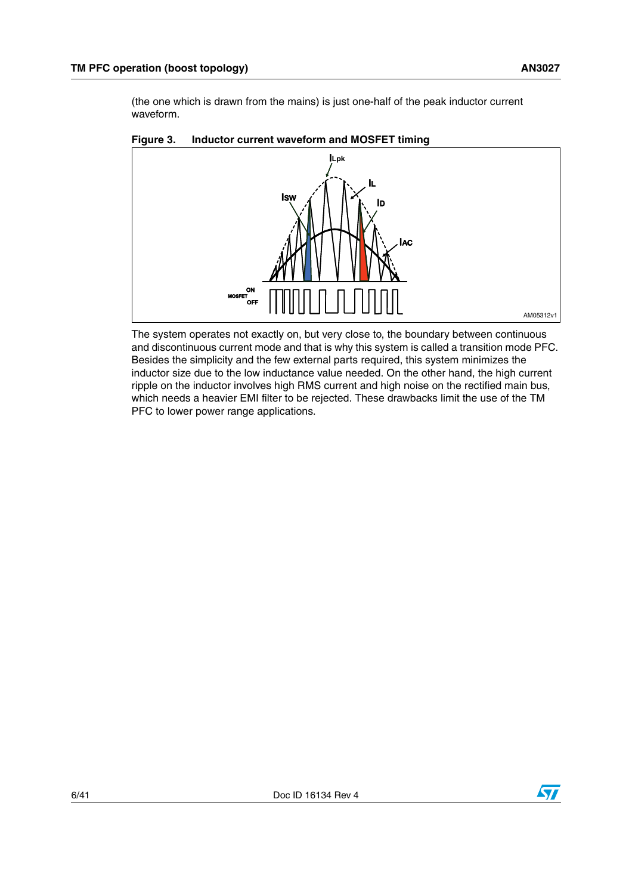(the one which is drawn from the mains) is just one-half of the peak inductor current waveform.



<span id="page-5-0"></span>

The system operates not exactly on, but very close to, the boundary between continuous and discontinuous current mode and that is why this system is called a transition mode PFC. Besides the simplicity and the few external parts required, this system minimizes the inductor size due to the low inductance value needed. On the other hand, the high current ripple on the inductor involves high RMS current and high noise on the rectified main bus, which needs a heavier EMI filter to be rejected. These drawbacks limit the use of the TM PFC to lower power range applications.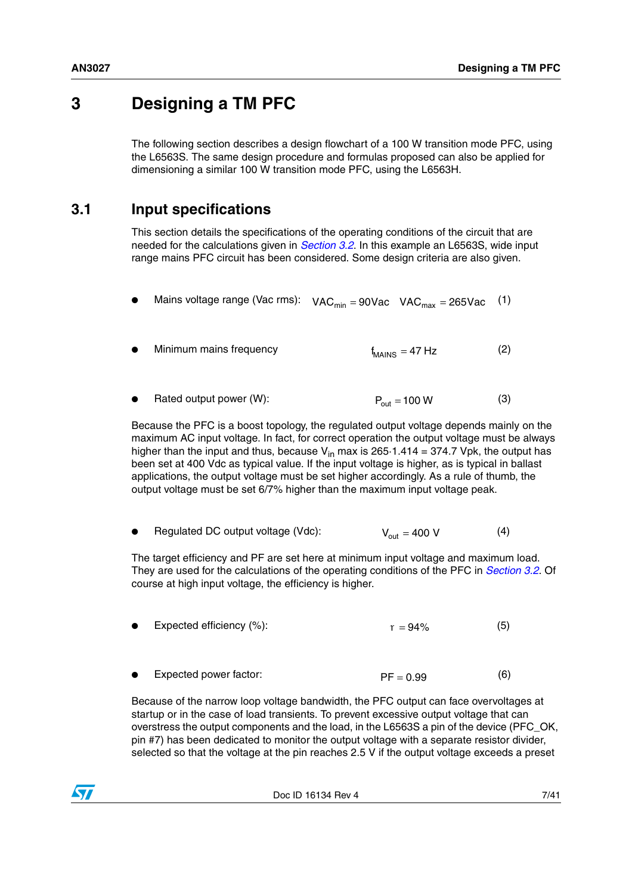# <span id="page-6-0"></span>**3 Designing a TM PFC**

The following section describes a design flowchart of a 100 W transition mode PFC, using the L6563S. The same design procedure and formulas proposed can also be applied for dimensioning a similar 100 W transition mode PFC, using the L6563H.

# <span id="page-6-1"></span>**3.1 Input specifications**

This section details the specifications of the operating conditions of the circuit that are needed for the calculations given in *[Section 3.2](#page-8-0)*. In this example an L6563S, wide input range mains PFC circuit has been considered. Some design criteria are also given.

- <span id="page-6-4"></span> $\bullet$  Mains voltage range (Vac rms):  $\rm VAC_{min} = 90Vac$  VAC $_{max} = 265Vac$ (1)
- Minimum mains frequency (2) f<sub>MAINS</sub> = 47 Hz
- <span id="page-6-3"></span>Rated output power (W): (3)  $P_{\text{out}} = 100 \text{ W}$

Because the PFC is a boost topology, the regulated output voltage depends mainly on the maximum AC input voltage. In fact, for correct operation the output voltage must be always higher than the input and thus, because  $V_{in}$  max is 265.1.414 = 374.7 Vpk, the output has been set at 400 Vdc as typical value. If the input voltage is higher, as is typical in ballast applications, the output voltage must be set higher accordingly. As a rule of thumb, the output voltage must be set 6/7% higher than the maximum input voltage peak.

<span id="page-6-2"></span>Regulated DC output voltage (Vdc): (4)  $V_{\text{out}} = 400 \text{ V}$ 

The target efficiency and PF are set here at minimum input voltage and maximum load. They are used for the calculations of the operating conditions of the PFC in *[Section 3.2](#page-8-0)*. Of course at high input voltage, the efficiency is higher.

- Expected efficiency (%): (5)  $r = 94%$
- Expected power factor: (6)  $PF = 0.99$

Because of the narrow loop voltage bandwidth, the PFC output can face overvoltages at startup or in the case of load transients. To prevent excessive output voltage that can overstress the output components and the load, in the L6563S a pin of the device (PFC\_OK, pin #7) has been dedicated to monitor the output voltage with a separate resistor divider, selected so that the voltage at the pin reaches 2.5 V if the output voltage exceeds a preset

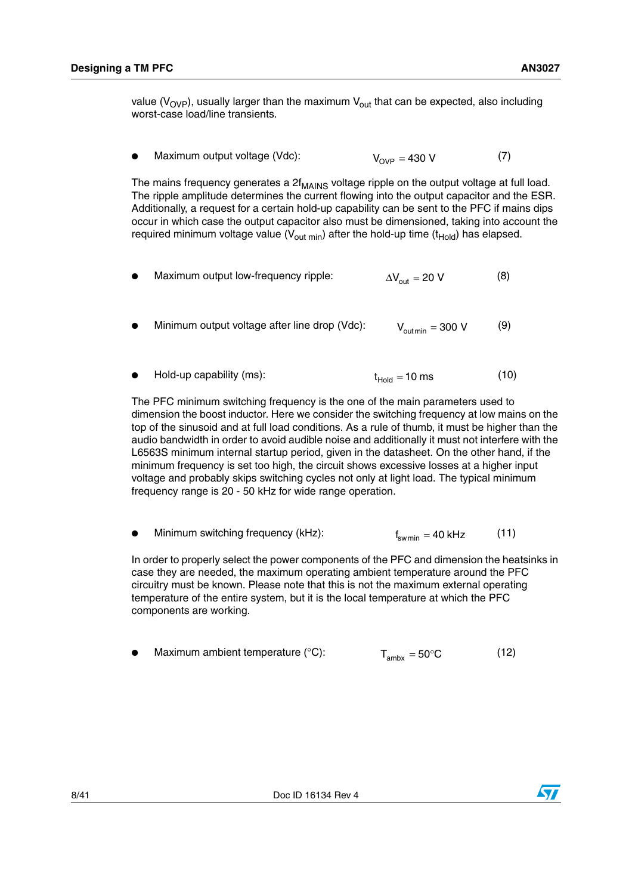value ( $V_{OVP}$ ), usually larger than the maximum  $V_{out}$  that can be expected, also including worst-case load/line transients.

<span id="page-7-0"></span>Maximum output voltage (Vdc): (7)  $V_{OVD} = 430 V$ 

The mains frequency generates a  $2f_{MAINS}$  voltage ripple on the output voltage at full load. The ripple amplitude determines the current flowing into the output capacitor and the ESR. Additionally, a request for a certain hold-up capability can be sent to the PFC if mains dips occur in which case the output capacitor also must be dimensioned, taking into account the required minimum voltage value ( $V_{\text{out min}}$ ) after the hold-up time ( $t_{\text{Hold}}$ ) has elapsed.

- Maximum output low-frequency ripple: (8)  $\Delta V_{\text{out}} = 20 V$
- Minimum output voltage after line drop (Vdc): (9)  $V_{\text{out min}} = 300 \text{ V}$

• Hold-up capability (ms): 
$$
t_{\text{Hold}} = 10 \text{ ms}
$$
 (10)

The PFC minimum switching frequency is the one of the main parameters used to dimension the boost inductor. Here we consider the switching frequency at low mains on the top of the sinusoid and at full load conditions. As a rule of thumb, it must be higher than the audio bandwidth in order to avoid audible noise and additionally it must not interfere with the L6563S minimum internal startup period, given in the datasheet. On the other hand, if the minimum frequency is set too high, the circuit shows excessive losses at a higher input voltage and probably skips switching cycles not only at light load. The typical minimum frequency range is 20 - 50 kHz for wide range operation.

Minimum switching frequency (kHz): (11) f<sub>swmin</sub> = 40 kHz

In order to properly select the power components of the PFC and dimension the heatsinks in case they are needed, the maximum operating ambient temperature around the PFC circuitry must be known. Please note that this is not the maximum external operating temperature of the entire system, but it is the local temperature at which the PFC components are working.

|  | Maximum ambient temperature $(°C)$ : | $T_{\text{ambx}} = 50^{\circ}C$ | (12) |
|--|--------------------------------------|---------------------------------|------|
|--|--------------------------------------|---------------------------------|------|

<span id="page-7-1"></span>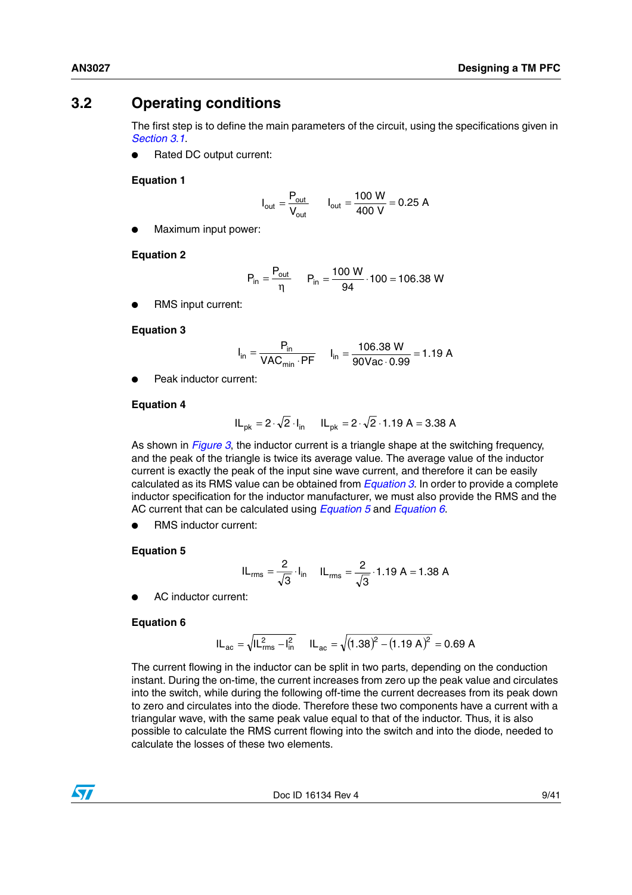# <span id="page-8-0"></span>**3.2 Operating conditions**

The first step is to define the main parameters of the circuit, using the specifications given in *[Section 3.1](#page-6-1)*.

Rated DC output current:

## <span id="page-8-5"></span>**Equation 1**

$$
I_{\text{out}} = \frac{P_{\text{out}}}{V_{\text{out}}} \qquad I_{\text{out}} = \frac{100 \text{ W}}{400 \text{ V}} = 0.25 \text{ A}
$$

Maximum input power:

## **Equation 2**

$$
P_{in} = \frac{P_{out}}{\eta} \qquad P_{in} = \frac{100 \text{ W}}{94} \cdot 100 = 106.38 \text{ W}
$$

RMS input current:

### <span id="page-8-1"></span>**Equation 3**

$$
I_{in} = \frac{P_{in}}{VAC_{min} \cdot PF} \qquad I_{in} = \frac{106.38 \text{ W}}{90 \text{Vac} \cdot 0.99} = 1.19 \text{ A}
$$

Peak inductor current:

## <span id="page-8-4"></span>**Equation 4**

$$
IL_{pk} = 2 \cdot \sqrt{2} \cdot I_{in}
$$
  $IL_{pk} = 2 \cdot \sqrt{2} \cdot 1.19$  A = 3.38 A

As shown in *[Figure 3](#page-5-0)*, the inductor current is a triangle shape at the switching frequency, and the peak of the triangle is twice its average value. The average value of the inductor current is exactly the peak of the input sine wave current, and therefore it can be easily calculated as its RMS value can be obtained from *[Equation 3](#page-8-1)*. In order to provide a complete inductor specification for the inductor manufacturer, we must also provide the RMS and the AC current that can be calculated using *[Equation 5](#page-8-2)* and *[Equation 6](#page-8-3)*.

RMS inductor current:

## <span id="page-8-2"></span>**Equation 5**

$$
IL_{rms} = \frac{2}{\sqrt{3}} \cdot I_{in} \quad IL_{rms} = \frac{2}{\sqrt{3}} \cdot 1.19 \text{ A} = 1.38 \text{ A}
$$

AC inductor current:

## <span id="page-8-3"></span>**Equation 6**

$$
IL_{ac} = \sqrt{IL_{rms}^2 - I_{in}^2} \qquad IL_{ac} = \sqrt{(1.38)^2 - (1.19 \text{ A})^2} = 0.69 \text{ A}
$$

The current flowing in the inductor can be split in two parts, depending on the conduction instant. During the on-time, the current increases from zero up the peak value and circulates into the switch, while during the following off-time the current decreases from its peak down to zero and circulates into the diode. Therefore these two components have a current with a triangular wave, with the same peak value equal to that of the inductor. Thus, it is also possible to calculate the RMS current flowing into the switch and into the diode, needed to calculate the losses of these two elements.

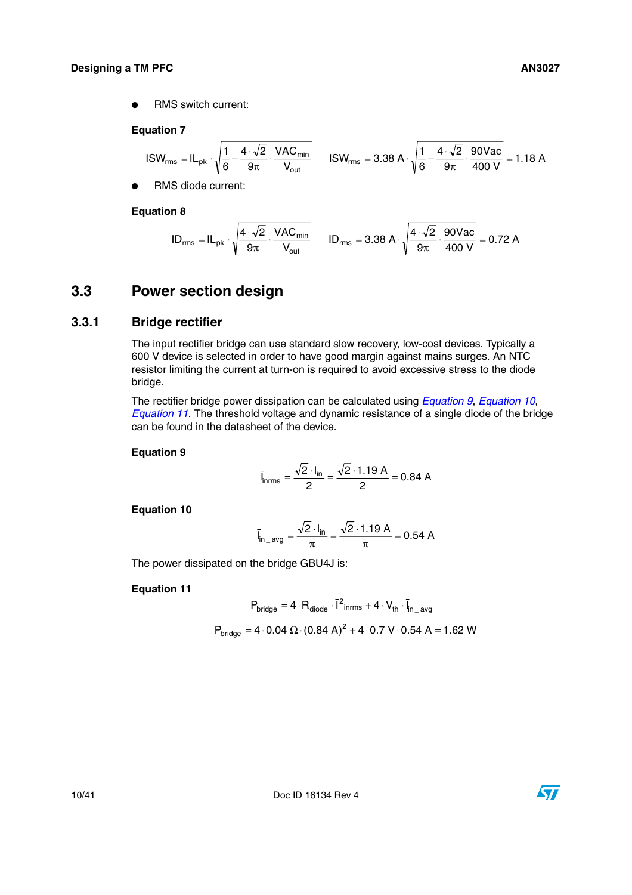**RMS** switch current:

# <span id="page-9-5"></span>**Equation 7**

$$
ISW_{rms} = IL_{pk} \cdot \sqrt{\frac{1}{6} - \frac{4 \cdot \sqrt{2}}{9\pi} \cdot \frac{VAC_{min}}{V_{out}}} \qquad ISW_{rms} = 3.38 \text{ A} \cdot \sqrt{\frac{1}{6} - \frac{4 \cdot \sqrt{2}}{9\pi} \cdot \frac{90 \text{Vac}}{400 \text{ V}}} = 1.18 \text{ A}
$$

RMS diode current:

<span id="page-9-6"></span>**Equation 8**

$$
ID_{rms} = IL_{pk} \cdot \sqrt{\frac{4 \cdot \sqrt{2}}{9\pi} \cdot \frac{VAC_{min}}{V_{out}}} \qquad ID_{rms} = 3.38 A \cdot \sqrt{\frac{4 \cdot \sqrt{2}}{9\pi} \cdot \frac{90Vac}{400 V}} = 0.72 A
$$

# <span id="page-9-0"></span>**3.3 Power section design**

# <span id="page-9-1"></span>**3.3.1 Bridge rectifier**

The input rectifier bridge can use standard slow recovery, low-cost devices. Typically a 600 V device is selected in order to have good margin against mains surges. An NTC resistor limiting the current at turn-on is required to avoid excessive stress to the diode bridge.

The rectifier bridge power dissipation can be calculated using *[Equation 9](#page-9-2)*, *[Equation 10](#page-9-3)*, *[Equation 11](#page-9-4)*. The threshold voltage and dynamic resistance of a single diode of the bridge can be found in the datasheet of the device.

### <span id="page-9-2"></span>**Equation 9**

$$
\bar{l}_{nrms} = \frac{\sqrt{2} \cdot l_{in}}{2} = \frac{\sqrt{2} \cdot 1.19 \text{ A}}{2} = 0.84 \text{ A}
$$

<span id="page-9-3"></span>**Equation 10**

$$
\bar{l}_{n\_{avg}} = \frac{\sqrt{2} \cdot l_{in}}{\pi} = \frac{\sqrt{2} \cdot 1.19 \text{ A}}{\pi} = 0.54 \text{ A}
$$

The power dissipated on the bridge GBU4J is:

# <span id="page-9-4"></span>**Equation 11**

$$
P_{bridge} = 4 \cdot R_{diode} \cdot \bar{1}^{2} \text{inrms} + 4 \cdot V_{th} \cdot \bar{I}_{n\_avg}
$$
  

$$
P_{bridge} = 4 \cdot 0.04 \ \Omega \cdot (0.84 \ A)^{2} + 4 \cdot 0.7 \ V \cdot 0.54 \ A = 1.62 \ W
$$

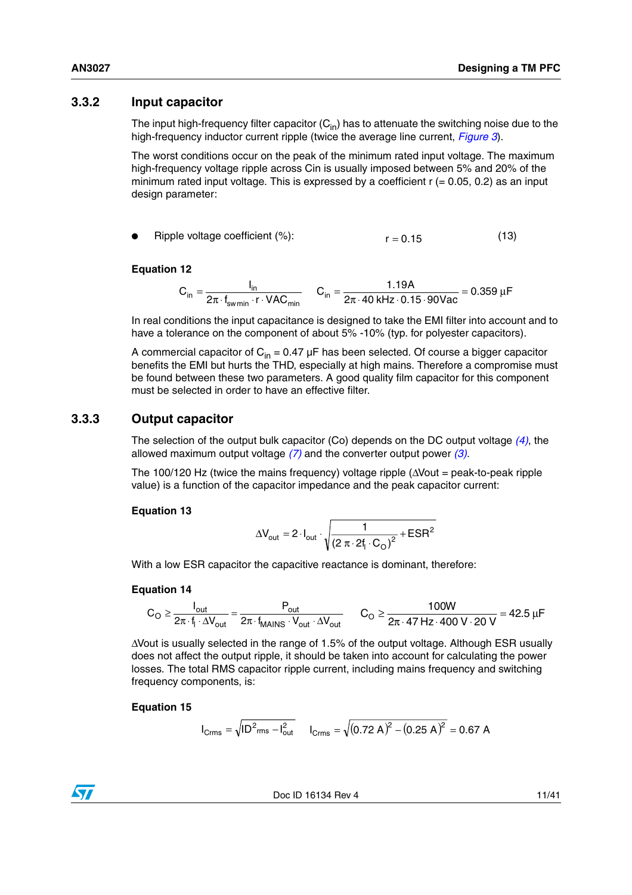# <span id="page-10-0"></span>**3.3.2 Input capacitor**

The input high-frequency filter capacitor  $(C_{in})$  has to attenuate the switching noise due to the high-frequency inductor current ripple (twice the average line current, *[Figure 3](#page-5-0)*).

The worst conditions occur on the peak of the minimum rated input voltage. The maximum high-frequency voltage ripple across Cin is usually imposed between 5% and 20% of the minimum rated input voltage. This is expressed by a coefficient  $r (= 0.05, 0.2)$  as an input design parameter:

Ripple voltage coefficient  $(\%)$ :  $r = 0.15$  (13)

# **Equation 12**

$$
C_{in} = \frac{I_{in}}{2\pi \cdot f_{swmin} \cdot r \cdot VAC_{min}} \qquad C_{in} = \frac{1.19A}{2\pi \cdot 40 \text{ kHz} \cdot 0.15 \cdot 90 \text{Vac}} = 0.359 \text{ }\mu\text{F}
$$

In real conditions the input capacitance is designed to take the EMI filter into account and to have a tolerance on the component of about 5% -10% (typ. for polyester capacitors).

A commercial capacitor of  $C_{in} = 0.47 \mu F$  has been selected. Of course a bigger capacitor benefits the EMI but hurts the THD, especially at high mains. Therefore a compromise must be found between these two parameters. A good quality film capacitor for this component must be selected in order to have an effective filter.

# <span id="page-10-1"></span>**3.3.3 Output capacitor**

The selection of the output bulk capacitor (Co) depends on the DC output voltage *[\(4\)](#page-6-2)*, the allowed maximum output voltage *[\(7\)](#page-7-0)* and the converter output power *[\(3\)](#page-6-3)*.

The 100/120 Hz (twice the mains frequency) voltage ripple (∆Vout = peak-to-peak ripple value) is a function of the capacitor impedance and the peak capacitor current:

## **Equation 13**

$$
\Delta V_{\text{out}} = 2 \cdot I_{\text{out}} \cdot \sqrt{\frac{1}{(2 \pi \cdot 2f_1 \cdot C_{\text{O}})^2} + \text{ESR}^2}
$$

With a low ESR capacitor the capacitive reactance is dominant, therefore:

## <span id="page-10-2"></span>**Equation 14**

$$
C_O \geq \frac{I_{out}}{2\pi \cdot f_l \cdot \Delta V_{out}} = \frac{P_{out}}{2\pi \cdot f_{MAINS} \cdot V_{out} \cdot \Delta V_{out}} \qquad C_O \geq \frac{100W}{2\pi \cdot 47\ Hz \cdot 400\ V \cdot 20\ V} = 42.5\ \mu F
$$

∆Vout is usually selected in the range of 1.5% of the output voltage. Although ESR usually does not affect the output ripple, it should be taken into account for calculating the power losses. The total RMS capacitor ripple current, including mains frequency and switching frequency components, is:

## **Equation 15**

$$
I_{\text{Crms}} = \sqrt{ID^2_{\text{rms}} - I_{\text{out}}^2} \qquad I_{\text{Crms}} = \sqrt{(0.72 \text{ A})^2 - (0.25 \text{ A})^2} = 0.67 \text{ A}
$$

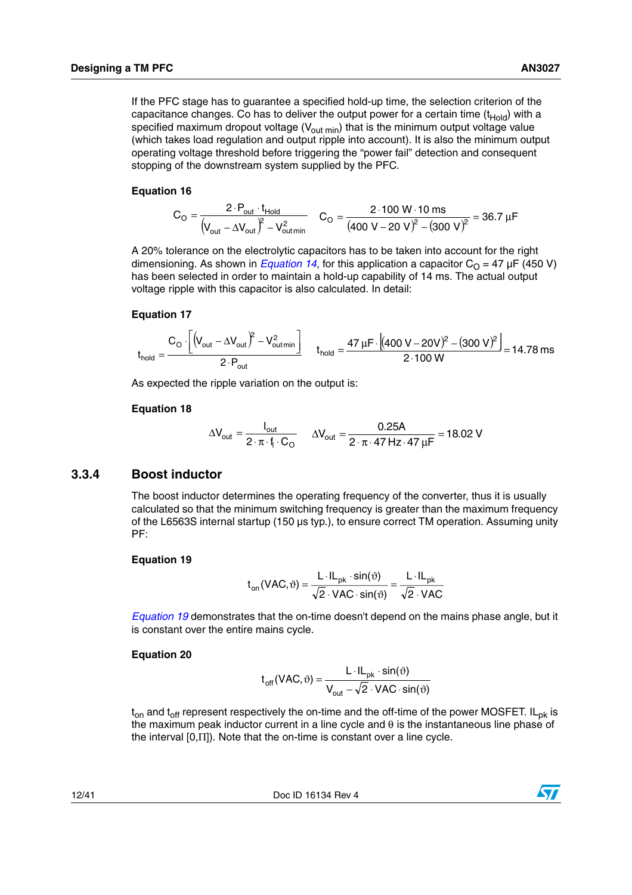If the PFC stage has to guarantee a specified hold-up time, the selection criterion of the capacitance changes. Co has to deliver the output power for a certain time  $(t_{\text{Hold}})$  with a specified maximum dropout voltage  $(V_{\text{out min}})$  that is the minimum output voltage value (which takes load regulation and output ripple into account). It is also the minimum output operating voltage threshold before triggering the "power fail" detection and consequent stopping of the downstream system supplied by the PFC.

### **Equation 16**

$$
C_{O} = \frac{2 \cdot P_{out} \cdot t_{\text{Hold}}}{\left(V_{out} - \Delta V_{out}\right)^{2} - V_{out,min}^{2}} \quad C_{O} = \frac{2 \cdot 100 \text{ W} \cdot 10 \text{ ms}}{(400 \text{ V} - 20 \text{ V})^{2} - (300 \text{ V})^{2}} = 36.7 \text{ }\mu\text{F}
$$

A 20% tolerance on the electrolytic capacitors has to be taken into account for the right dimensioning. As shown in *[Equation 14](#page-10-2)*, for this application a capacitor  $C<sub>O</sub> = 47 \mu F (450 V)$ has been selected in order to maintain a hold-up capability of 14 ms. The actual output voltage ripple with this capacitor is also calculated. In detail:

### **Equation 17**

$$
t_{\text{hold}} = \frac{C_{\text{O}} \cdot \left[ \left( V_{\text{out}} - \Delta V_{\text{out}} \right)^2 - V_{\text{out}}^2 \right]}{2 \cdot P_{\text{out}}} \qquad t_{\text{hold}} = \frac{47 \,\mu\text{F} \cdot \left[ (400 \,\text{V} - 20 \,\text{V})^2 - (300 \,\text{V})^2 \right]}{2 \cdot 100 \,\text{W}} = 14.78 \,\text{ms}
$$

As expected the ripple variation on the output is:

### **Equation 18**

$$
\Delta V_{out} = \frac{I_{out}}{2 \cdot \pi \cdot f_1 \cdot C_O} \qquad \Delta V_{out} = \frac{0.25A}{2 \cdot \pi \cdot 47 Hz \cdot 47 \mu F} = 18.02 V
$$

# <span id="page-11-0"></span>**3.3.4 Boost inductor**

The boost inductor determines the operating frequency of the converter, thus it is usually calculated so that the minimum switching frequency is greater than the maximum frequency of the L6563S internal startup (150 µs typ.), to ensure correct TM operation. Assuming unity PF:

### <span id="page-11-1"></span>**Equation 19**

$$
t_{on}(VAC, \vartheta) = \frac{L \cdot IL_{pk} \cdot sin(\vartheta)}{\sqrt{2} \cdot VAC \cdot sin(\vartheta)} = \frac{L \cdot IL_{pk}}{\sqrt{2} \cdot VAC}
$$

*[Equation 19](#page-11-1)* demonstrates that the on-time doesn't depend on the mains phase angle, but it is constant over the entire mains cycle.

### **Equation 20**

$$
t_{off}(VAC, \vartheta) = \frac{L \cdot IL_{pk} \cdot sin(\vartheta)}{V_{out} - \sqrt{2} \cdot VAC \cdot sin(\vartheta)}
$$

 $t_{on}$  and  $t_{off}$  represent respectively the on-time and the off-time of the power MOSFET. IL<sub>pk</sub> is the maximum peak inductor current in a line cycle and θ is the instantaneous line phase of the interval [0,Π]). Note that the on-time is constant over a line cycle.

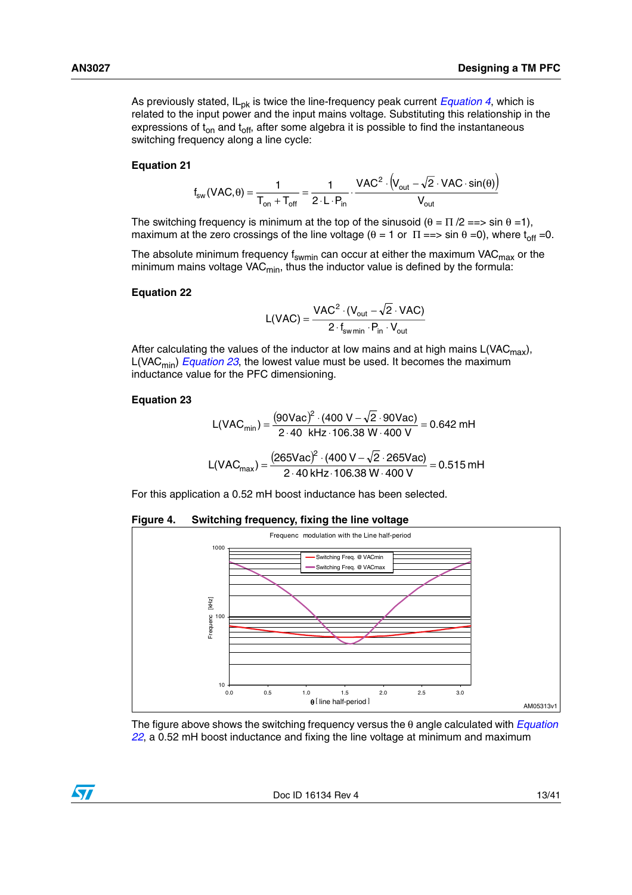As previously stated, IL<sub>pk</sub> is twice the line-frequency peak current *[Equation 4](#page-8-4)*, which is related to the input power and the input mains voltage. Substituting this relationship in the expressions of  $t_{on}$  and  $t_{off}$ , after some algebra it is possible to find the instantaneous switching frequency along a line cycle:

### **Equation 21**

$$
f_{sw}(\text{VAC}, \theta) = \frac{1}{T_{on} + T_{off}} = \frac{1}{2 \cdot L \cdot P_{in}} \cdot \frac{\text{VAC}^2 \cdot (V_{out} - \sqrt{2} \cdot \text{VAC} \cdot \sin(\theta))}{V_{out}}
$$

The switching frequency is minimum at the top of the sinusoid  $(\theta = \Pi / 2 \implies \sin \theta = 1)$ , maximum at the zero crossings of the line voltage ( $\theta = 1$  or  $\Pi == > \sin \theta = 0$ ), where  $t_{off} = 0$ .

The absolute minimum frequency f<sub>swmin</sub> can occur at either the maximum VAC<sub>max</sub> or the minimum mains voltage VAC $_{\sf min}$ , thus the inductor value is defined by the formula:

#### <span id="page-12-2"></span>**Equation 22**

$$
L(VAC) = \frac{VAC^2 \cdot (V_{out} - \sqrt{2} \cdot VAC)}{2 \cdot f_{swmin} \cdot P_{in} \cdot V_{out}}
$$

After calculating the values of the inductor at low mains and at high mains  $L(VAC_{max})$ , L(VAC<sub>min</sub>) *[Equation 23](#page-12-1)*, the lowest value must be used. It becomes the maximum inductance value for the PFC dimensioning.

### <span id="page-12-1"></span>**Equation 23**

$$
L(VAC_{min}) = \frac{(90\text{Vac})^2 \cdot (400 \text{ V} - \sqrt{2} \cdot 90\text{Vac})}{2 \cdot 40 \text{ kHz} \cdot 106.38 \text{ W} \cdot 400 \text{ V}} = 0.642 \text{ mH}
$$

$$
L(VAC_{max}) = \frac{(265\text{Vac})^2 \cdot (400 \text{ V} - \sqrt{2} \cdot 265\text{Vac})}{2 \cdot 40 \text{ kHz} \cdot 106.38 \text{ W} \cdot 400 \text{ V}} = 0.515 \text{ mH}
$$

For this application a 0.52 mH boost inductance has been selected.

### <span id="page-12-0"></span>**Figure 4. Switching frequency, fixing the line voltage**



The figure above shows the switching frequency versus the θ angle calculated with *[Equation](#page-12-2)  [22](#page-12-2)*, a 0.52 mH boost inductance and fixing the line voltage at minimum and maximum

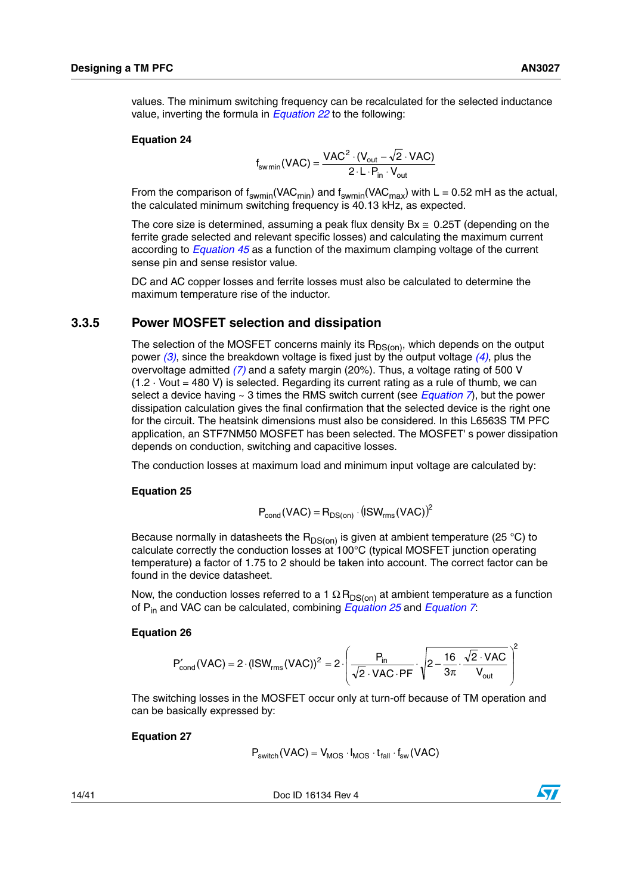values. The minimum switching frequency can be recalculated for the selected inductance value, inverting the formula in *[Equation 22](#page-12-2)* to the following:

### **Equation 24**

$$
f_{\text{swmin}}(\text{VAC}) = \frac{\text{VAC}^2 \cdot (\text{V}_{\text{out}} - \sqrt{2} \cdot \text{VAC})}{2 \cdot L \cdot P_{\text{in}} \cdot V_{\text{out}}}
$$

From the comparison of  $f_{swmin}(VAC_{min})$  and  $f_{swmin}(VAC_{max})$  with L = 0.52 mH as the actual, the calculated minimum switching frequency is 40.13 kHz, as expected.

The core size is determined, assuming a peak flux density  $Bx \approx 0.25T$  (depending on the ferrite grade selected and relevant specific losses) and calculating the maximum current according to *[Equation 45](#page-20-2)* as a function of the maximum clamping voltage of the current sense pin and sense resistor value.

DC and AC copper losses and ferrite losses must also be calculated to determine the maximum temperature rise of the inductor.

# <span id="page-13-0"></span>**3.3.5 Power MOSFET selection and dissipation**

The selection of the MOSFET concerns mainly its  $R_{DS(00)}$ , which depends on the output power *[\(3\)](#page-6-3)*, since the breakdown voltage is fixed just by the output voltage *[\(4\)](#page-6-2)*, plus the overvoltage admitted *[\(7\)](#page-7-0)* and a safety margin (20%). Thus, a voltage rating of 500 V  $(1.2 \cdot$  Vout = 480 V) is selected. Regarding its current rating as a rule of thumb, we can select a device having ~ 3 times the RMS switch current (see *[Equation 7](#page-9-5)*), but the power dissipation calculation gives the final confirmation that the selected device is the right one for the circuit. The heatsink dimensions must also be considered. In this L6563S TM PFC application, an STF7NM50 MOSFET has been selected. The MOSFET' s power dissipation depends on conduction, switching and capacitive losses.

The conduction losses at maximum load and minimum input voltage are calculated by:

### <span id="page-13-1"></span>**Equation 25**

$$
P_{\text{cond}}(\text{VAC}) = R_{DS(\text{on})} \cdot (\text{ISW}_{\text{rms}}(\text{VAC}))^2
$$

Because normally in datasheets the  $R_{DS(on)}$  is given at ambient temperature (25 °C) to calculate correctly the conduction losses at 100°C (typical MOSFET junction operating temperature) a factor of 1.75 to 2 should be taken into account. The correct factor can be found in the device datasheet.

Now, the conduction losses referred to a 1  $\Omega$  R<sub>DS(on)</sub> at ambient temperature as a function of Pin and VAC can be calculated, combining *[Equation 25](#page-13-1)* and *[Equation 7](#page-9-5)*:

### <span id="page-13-3"></span>**Equation 26**

$$
P'_{cond}(VAC) = 2 \cdot (ISW_{rms}(VAC))^2 = 2 \cdot \left(\frac{P_{in}}{\sqrt{2} \cdot VAC \cdot PF} \cdot \sqrt{2 - \frac{16}{3\pi} \cdot \frac{\sqrt{2} \cdot VAC}{V_{out}}}\right)^2
$$

The switching losses in the MOSFET occur only at turn-off because of TM operation and can be basically expressed by:

### <span id="page-13-2"></span>**Equation 27**

$$
P_{switch}(VAC) = V_{MOS} \cdot I_{MOS} \cdot t_{fall} \cdot f_{sw}(VAC)
$$

14/41 Doc ID 16134 Rev 4

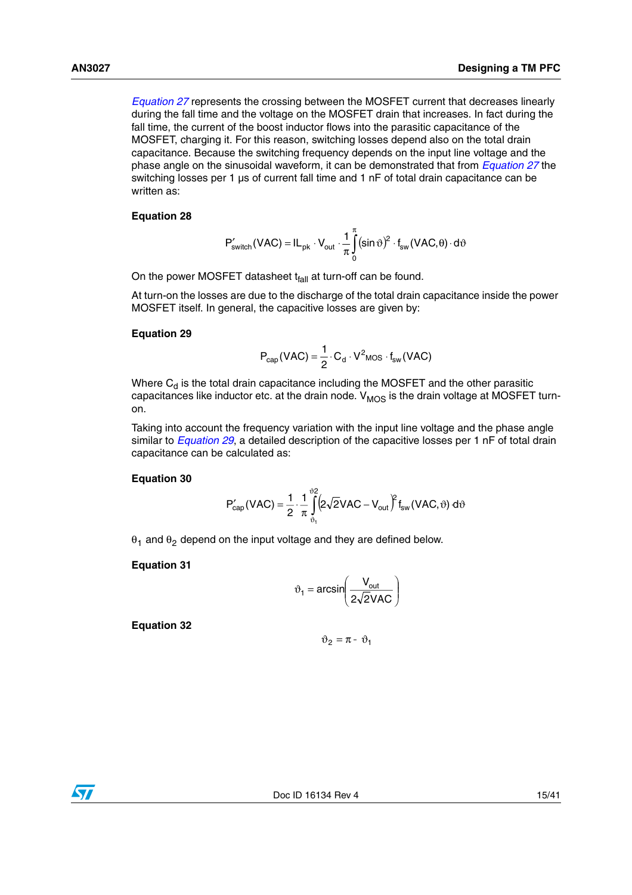*[Equation 27](#page-13-2)* represents the crossing between the MOSFET current that decreases linearly during the fall time and the voltage on the MOSFET drain that increases. In fact during the fall time, the current of the boost inductor flows into the parasitic capacitance of the MOSFET, charging it. For this reason, switching losses depend also on the total drain capacitance. Because the switching frequency depends on the input line voltage and the phase angle on the sinusoidal waveform, it can be demonstrated that from *[Equation 27](#page-13-2)* the switching losses per 1 µs of current fall time and 1 nF of total drain capacitance can be written as:

# <span id="page-14-1"></span>**Equation 28**

$$
P'_{switch}(VAC) = IL_{pk} \cdot V_{out} \cdot \frac{1}{\pi} \int_{0}^{\pi} (\sin \vartheta)^2 \cdot f_{sw}(VAC, \theta) \cdot d\vartheta
$$

On the power MOSFET datasheet  $t_{fall}$  at turn-off can be found.

At turn-on the losses are due to the discharge of the total drain capacitance inside the power MOSFET itself. In general, the capacitive losses are given by:

# <span id="page-14-0"></span>**Equation 29**

$$
P_{cap}(VAC) = \frac{1}{2} \cdot C_d \cdot V^2 \text{mos} \cdot f_{sw}(VAC)
$$

Where  $C_d$  is the total drain capacitance including the MOSFET and the other parasitic capacitances like inductor etc. at the drain node.  $V_{MOS}$  is the drain voltage at MOSFET turnon.

Taking into account the frequency variation with the input line voltage and the phase angle similar to *[Equation 29](#page-14-0)*, a detailed description of the capacitive losses per 1 nF of total drain capacitance can be calculated as:

## <span id="page-14-2"></span>**Equation 30**

$$
P'_{cap}(VAC) = \frac{1}{2} \cdot \frac{1}{\pi} \int_{\vartheta_1}^{\vartheta_2} \left(2\sqrt{2}VAC - V_{out}\right)^2 f_{sw}(VAC, \vartheta) d\vartheta
$$

 $\theta_1$  and  $\theta_2$  depend on the input voltage and they are defined below.

# **Equation 31**

$$
\vartheta_1 = \arcsin\left(\frac{V_{\text{out}}}{2\sqrt{2}VAC}\right)
$$

**Equation 32**

$$
\vartheta_2 = \pi - \vartheta_1
$$

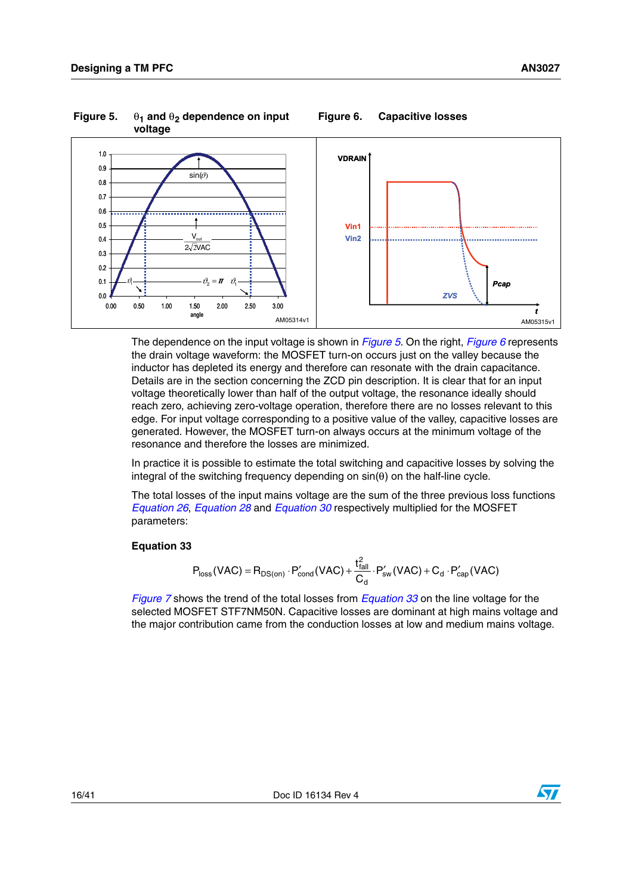

<span id="page-15-0"></span>Figure 5.  $\theta_1$  and  $\theta_2$  dependence on input

<span id="page-15-1"></span>

The dependence on the input voltage is shown in *[Figure 5](#page-15-0)*. On the right, *[Figure 6](#page-15-1)* represents the drain voltage waveform: the MOSFET turn-on occurs just on the valley because the inductor has depleted its energy and therefore can resonate with the drain capacitance. Details are in the section concerning the ZCD pin description. It is clear that for an input voltage theoretically lower than half of the output voltage, the resonance ideally should reach zero, achieving zero-voltage operation, therefore there are no losses relevant to this edge. For input voltage corresponding to a positive value of the valley, capacitive losses are generated. However, the MOSFET turn-on always occurs at the minimum voltage of the resonance and therefore the losses are minimized.

In practice it is possible to estimate the total switching and capacitive losses by solving the integral of the switching frequency depending on  $sin(θ)$  on the half-line cycle.

The total losses of the input mains voltage are the sum of the three previous loss functions *[Equation 26](#page-13-3)*, *[Equation 28](#page-14-1)* and *[Equation 30](#page-14-2)* respectively multiplied for the MOSFET parameters:

# <span id="page-15-2"></span>**Equation 33**

$$
P_{loss}(VAC) = R_{DS(on)} \cdot P_{cond}'(VAC) + \frac{t_{fall}^2}{C_d} \cdot P_{sw}'(VAC) + C_d \cdot P_{cap}'(VAC)
$$

*[Figure 7](#page-16-1)* shows the trend of the total losses from *[Equation 33](#page-15-2)* on the line voltage for the selected MOSFET STF7NM50N. Capacitive losses are dominant at high mains voltage and the major contribution came from the conduction losses at low and medium mains voltage.

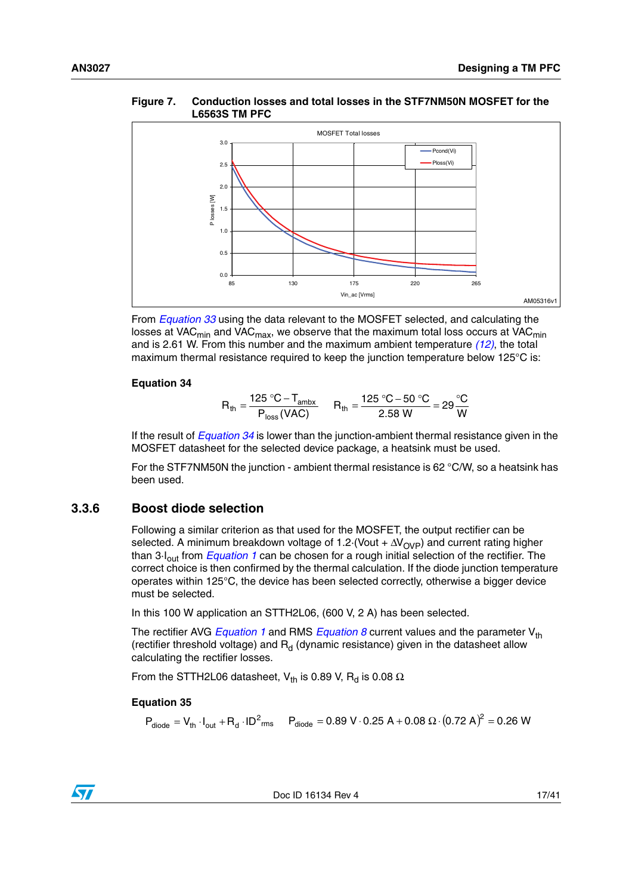## <span id="page-16-1"></span>**Figure 7. Conduction losses and total losses in the STF7NM50N MOSFET for the L6563S TM PFC**



From *[Equation 33](#page-15-2)* using the data relevant to the MOSFET selected, and calculating the losses at VAC<sub>min</sub> and VAC<sub>max</sub>, we observe that the maximum total loss occurs at VAC<sub>min</sub> and is 2.61 W. From this number and the maximum ambient temperature *[\(12\)](#page-7-1)*, the total maximum thermal resistance required to keep the junction temperature below 125°C is:

## <span id="page-16-2"></span>**Equation 34**

$$
R_{\text{th}} = \frac{125 \text{ °C} - T_{\text{ambx}}}{P_{\text{loss}}(VAC)} \qquad R_{\text{th}} = \frac{125 \text{ °C} - 50 \text{ °C}}{2.58 \text{ W}} = 29 \frac{\text{ °C}}{\text{W}}
$$

If the result of *[Equation 34](#page-16-2)* is lower than the junction-ambient thermal resistance given in the MOSFET datasheet for the selected device package, a heatsink must be used.

For the STF7NM50N the junction - ambient thermal resistance is 62 °C/W, so a heatsink has been used.

# <span id="page-16-0"></span>**3.3.6 Boost diode selection**

Following a similar criterion as that used for the MOSFET, the output rectifier can be selected. A minimum breakdown voltage of 1.2 $\cdot$ (Vout +  $\Delta V_{\text{OVP}}$ ) and current rating higher than 3·Iout from *[Equation 1](#page-8-5)* can be chosen for a rough initial selection of the rectifier. The correct choice is then confirmed by the thermal calculation. If the diode junction temperature operates within 125°C, the device has been selected correctly, otherwise a bigger device must be selected.

In this 100 W application an STTH2L06, (600 V, 2 A) has been selected.

The rectifier AVG *[Equation 1](#page-8-5)* and RMS *[Equation 8](#page-9-6)* current values and the parameter V<sub>th</sub> (rectifier threshold voltage) and  $R_d$  (dynamic resistance) given in the datasheet allow calculating the rectifier losses.

From the STTH2L06 datasheet, V<sub>th</sub> is 0.89 V, R<sub>d</sub> is 0.08  $\Omega$ .

# <span id="page-16-3"></span>**Equation 35**

 $\sqrt{}$ 

 $\mathsf{P}_{\mathsf{diode}} = \mathsf{V}_{\mathsf{th}} \cdot \mathsf{I}_{\mathsf{out}} + \mathsf{R}_{\mathsf{d}} \cdot \mathsf{ID}^2$ rms  $\mathsf{P}_{\mathsf{diode}} = 0.89 \ \mathsf{V} \cdot 0.25 \ \mathsf{A} + 0.08 \ \Omega \cdot (0.72 \ \mathsf{A})^2 = 0.26 \ \mathsf{W}$ 

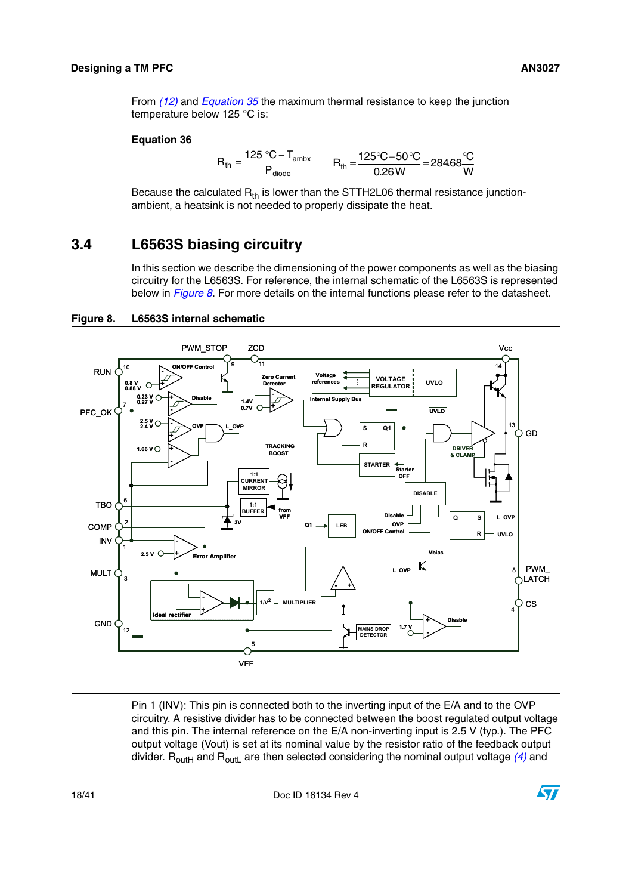From *[\(12\)](#page-7-1)* and *[Equation 35](#page-16-3)* the maximum thermal resistance to keep the junction temperature below 125 °C is:

### **Equation 36**

$$
R_{\text{th}} = \frac{125 \text{ °C} - T_{\text{ambx}}}{P_{\text{diode}}} \qquad R_{\text{th}} = \frac{125 \text{ °C} - 50 \text{ °C}}{0.26 \text{ W}} = 28468 \frac{\text{ °C}}{\text{W}}
$$

Because the calculated  $R_{th}$  is lower than the STTH2L06 thermal resistance junctionambient, a heatsink is not needed to properly dissipate the heat.

# <span id="page-17-0"></span>**3.4 L6563S biasing circuitry**

In this section we describe the dimensioning of the power components as well as the biasing circuitry for the L6563S. For reference, the internal schematic of the L6563S is represented below in *[Figure 8](#page-17-1)*. For more details on the internal functions please refer to the datasheet.



<span id="page-17-1"></span>**Figure 8. L6563S internal schematic**

Pin 1 (INV): This pin is connected both to the inverting input of the E/A and to the OVP circuitry. A resistive divider has to be connected between the boost regulated output voltage and this pin. The internal reference on the E/A non-inverting input is 2.5 V (typ.). The PFC output voltage (Vout) is set at its nominal value by the resistor ratio of the feedback output divider.  $R_{\text{outH}}$  and  $R_{\text{outH}}$  are then selected considering the nominal output voltage [\(4\)](#page-6-2) and

18/41 Doc ID 16134 Rev 4

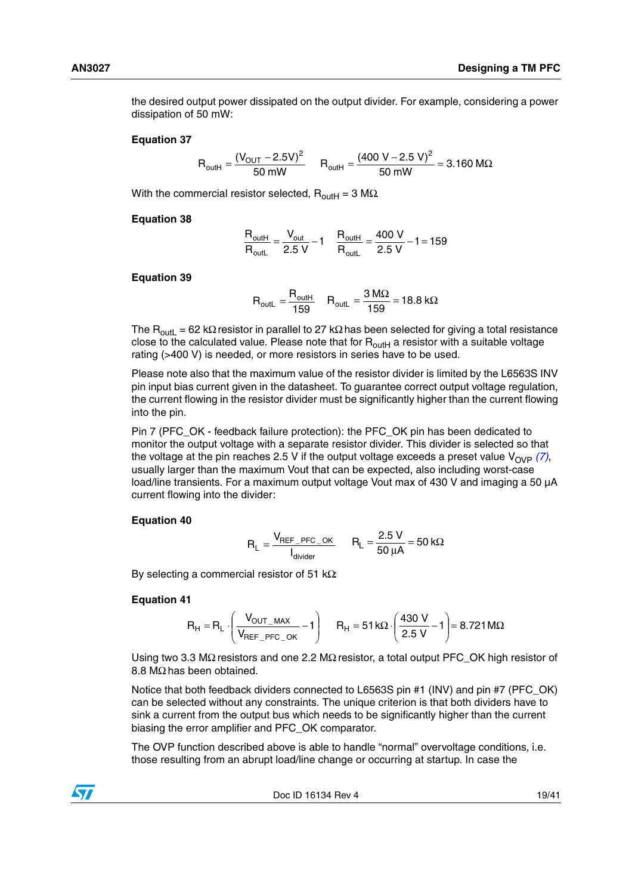the desired output power dissipated on the output divider. For example, considering a power dissipation of 50 mW:

#### **Equation 37**

$$
R_{\text{outH}} = \frac{(V_{\text{OUT}} - 2.5V)^2}{50 \text{ mW}} \qquad R_{\text{outH}} = \frac{(400 \text{ V} - 2.5 \text{ V})^2}{50 \text{ mW}} = 3.160 \text{ M}\Omega
$$

With the commercial resistor selected,  $R_{\text{outH}} = 3 \text{ M}\Omega$ .

#### **Equation 38**

$$
\frac{R_{\text{outH}}}{R_{\text{outL}}} = \frac{V_{\text{out}}}{2.5 \text{ V}} - 1 \quad \frac{R_{\text{outH}}}{R_{\text{outL}}} = \frac{400 \text{ V}}{2.5 \text{ V}} - 1 = 159
$$

### **Equation 39**

$$
R_{\text{outL}} = \frac{R_{\text{outH}}}{159} \quad R_{\text{outL}} = \frac{3 \text{ M}\Omega}{159} = 18.8 \text{ k}\Omega
$$

The R<sub>outL</sub> = 62 kΩ resistor in parallel to 27 kΩ has been selected for giving a total resistance close to the calculated value. Please note that for  $R_{\text{outH}}$  a resistor with a suitable voltage rating (>400 V) is needed, or more resistors in series have to be used.

Please note also that the maximum value of the resistor divider is limited by the L6563S INV pin input bias current given in the datasheet. To guarantee correct output voltage regulation, the current flowing in the resistor divider must be significantly higher than the current flowing into the pin.

Pin 7 (PFC\_OK - feedback failure protection): the PFC\_OK pin has been dedicated to monitor the output voltage with a separate resistor divider. This divider is selected so that the voltage at the pin reaches 2.5 V if the output voltage exceeds a preset value  $V_{OVP}$   $(7)$ , usually larger than the maximum Vout that can be expected, also including worst-case load/line transients. For a maximum output voltage Vout max of 430 V and imaging a 50 µA current flowing into the divider:

#### **Equation 40**

$$
R_L = \frac{V_{REF\_PFC\_OK}}{I_{divider}} \qquad R_L = \frac{2.5 \text{ V}}{50 \text{ }\mu\text{A}} = 50 \text{ k}\Omega
$$

By selecting a commercial resistor of 51 k $\Omega$ :

### **Equation 41**

$$
R_H = R_L \cdot \left(\frac{V_{OUT\_MAX}}{V_{REF\_PFC\_OK}} - 1\right) \qquad R_H = 51 \, k\Omega \cdot \left(\frac{430 \, V}{2.5 \, V} - 1\right) = 8.721 \, M\Omega
$$

Using two 3.3 MΩ resistors and one 2.2 MΩ resistor, a total output PFC\_OK high resistor of 8.8 MΩ has been obtained.

Notice that both feedback dividers connected to L6563S pin #1 (INV) and pin #7 (PFC\_OK) can be selected without any constraints. The unique criterion is that both dividers have to sink a current from the output bus which needs to be significantly higher than the current biasing the error amplifier and PFC\_OK comparator.

The OVP function described above is able to handle "normal" overvoltage conditions, i.e. those resulting from an abrupt load/line change or occurring at startup. In case the



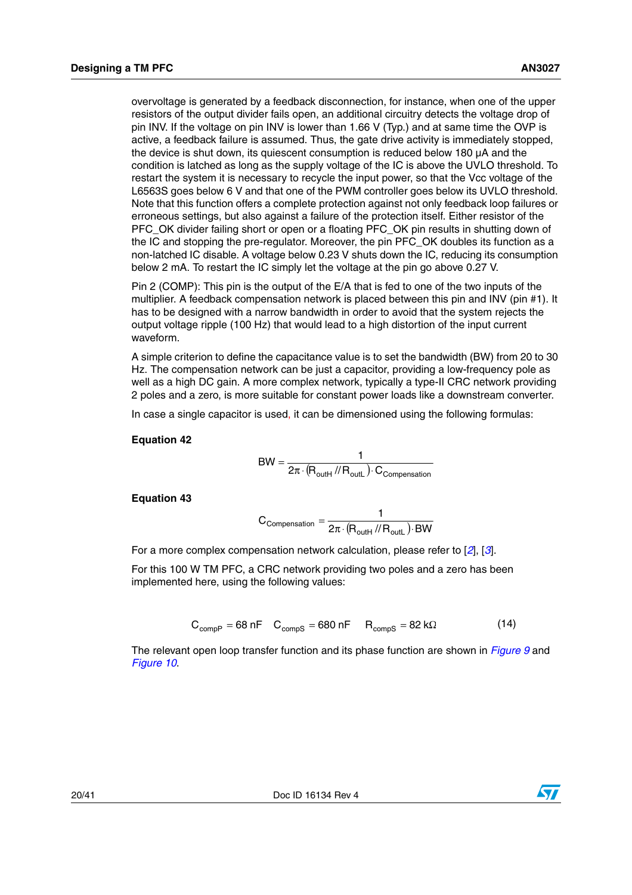overvoltage is generated by a feedback disconnection, for instance, when one of the upper resistors of the output divider fails open, an additional circuitry detects the voltage drop of pin INV. If the voltage on pin INV is lower than 1.66 V (Typ.) and at same time the OVP is active, a feedback failure is assumed. Thus, the gate drive activity is immediately stopped, the device is shut down, its quiescent consumption is reduced below 180 µA and the condition is latched as long as the supply voltage of the IC is above the UVLO threshold. To restart the system it is necessary to recycle the input power, so that the Vcc voltage of the L6563S goes below 6 V and that one of the PWM controller goes below its UVLO threshold. Note that this function offers a complete protection against not only feedback loop failures or erroneous settings, but also against a failure of the protection itself. Either resistor of the PFC OK divider failing short or open or a floating PFC OK pin results in shutting down of the IC and stopping the pre-regulator. Moreover, the pin PFC\_OK doubles its function as a non-latched IC disable. A voltage below 0.23 V shuts down the IC, reducing its consumption below 2 mA. To restart the IC simply let the voltage at the pin go above 0.27 V.

Pin 2 (COMP): This pin is the output of the E/A that is fed to one of the two inputs of the multiplier. A feedback compensation network is placed between this pin and INV (pin #1). It has to be designed with a narrow bandwidth in order to avoid that the system rejects the output voltage ripple (100 Hz) that would lead to a high distortion of the input current waveform.

A simple criterion to define the capacitance value is to set the bandwidth (BW) from 20 to 30 Hz. The compensation network can be just a capacitor, providing a low-frequency pole as well as a high DC gain. A more complex network, typically a type-II CRC network providing 2 poles and a zero, is more suitable for constant power loads like a downstream converter.

In case a single capacitor is used, it can be dimensioned using the following formulas:

### **Equation 42**

$$
BW = \frac{1}{2\pi \cdot (R_{\text{outH}} / / R_{\text{outL}}) \cdot C_{\text{Compensation}}}
$$

**Equation 43**

$$
C_{\text{Comparison}} = \frac{1}{2\pi \cdot (R_{\text{outH}} \text{ // } R_{\text{outL}}) \cdot BW}
$$

For a more complex compensation network calculation, please refer to [*[2](#page-38-1)*], [*[3](#page-38-2)*].

For this 100 W TM PFC, a CRC network providing two poles and a zero has been implemented here, using the following values:

$$
C_{\text{compP}} = 68 \text{ nF} \quad C_{\text{compS}} = 680 \text{ nF} \quad R_{\text{compS}} = 82 \text{ k}\Omega \tag{14}
$$

The relevant open loop transfer function and its phase function are shown in *[Figure 9](#page-20-0)* and *[Figure 10](#page-20-1)*.

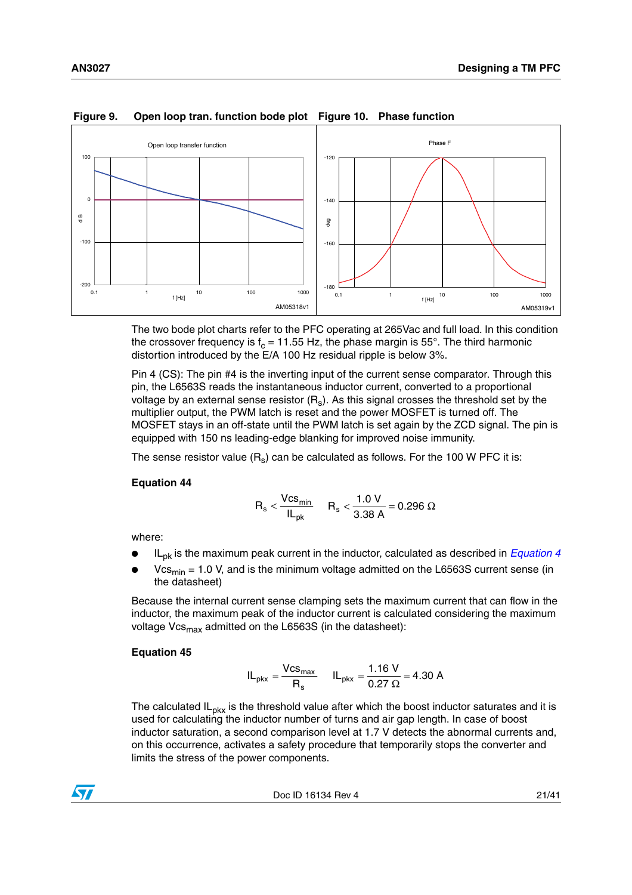

# <span id="page-20-1"></span><span id="page-20-0"></span>**Figure 9. Open loop tran. function bode plot Figure 10. Phase function**

The two bode plot charts refer to the PFC operating at 265Vac and full load. In this condition the crossover frequency is  $f_c = 11.55$  Hz, the phase margin is 55°. The third harmonic distortion introduced by the E/A 100 Hz residual ripple is below 3%.

Pin 4 (CS): The pin #4 is the inverting input of the current sense comparator. Through this pin, the L6563S reads the instantaneous inductor current, converted to a proportional voltage by an external sense resistor  $(R_s)$ . As this signal crosses the threshold set by the multiplier output, the PWM latch is reset and the power MOSFET is turned off. The MOSFET stays in an off-state until the PWM latch is set again by the ZCD signal. The pin is equipped with 150 ns leading-edge blanking for improved noise immunity.

The sense resistor value  $(R_s)$  can be calculated as follows. For the 100 W PFC it is:

# <span id="page-20-3"></span>**Equation 44**

$$
R_s < \frac{Vcs_{min}}{IL_{pk}} \hspace{0.5cm} R_s < \frac{1.0 \; V}{3.38 \; A} = 0.296 \; \Omega
$$

where:

- IL<sub>pk</sub> is the maximum peak current in the inductor, calculated as described in *[Equation 4](#page-8-4)*
- $Vcs<sub>min</sub> = 1.0 V$ , and is the minimum voltage admitted on the L6563S current sense (in the datasheet)

Because the internal current sense clamping sets the maximum current that can flow in the inductor, the maximum peak of the inductor current is calculated considering the maximum voltage  $Vcs<sub>max</sub>$  admitted on the L6563S (in the datasheet):

# <span id="page-20-2"></span>**Equation 45**

$$
IL_{\text{pkx}} = \frac{Vcs_{\text{max}}}{R_s} \qquad IL_{\text{pkx}} = \frac{1.16 \text{ V}}{0.27 \text{ }\Omega} = 4.30 \text{ A}
$$

The calculated  $IL_{\text{DKX}}$  is the threshold value after which the boost inductor saturates and it is used for calculating the inductor number of turns and air gap length. In case of boost inductor saturation, a second comparison level at 1.7 V detects the abnormal currents and, on this occurrence, activates a safety procedure that temporarily stops the converter and limits the stress of the power components.

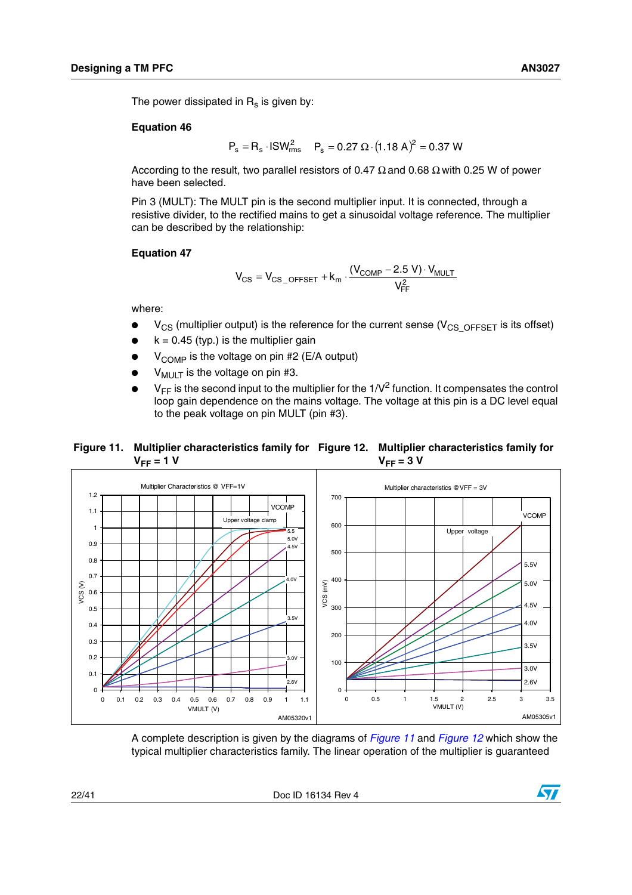The power dissipated in  $R_s$  is given by:

# **Equation 46**

 $P_s = R_s \cdot ISW_{rms}^2$   $P_s = 0.27 \Omega \cdot (1.18 \text{ A})^2 = 0.37 \text{ W}$ 

According to the result, two parallel resistors of 0.47  $\Omega$  and 0.68  $\Omega$  with 0.25 W of power have been selected.

Pin 3 (MULT): The MULT pin is the second multiplier input. It is connected, through a resistive divider, to the rectified mains to get a sinusoidal voltage reference. The multiplier can be described by the relationship:

## **Equation 47**

<span id="page-21-1"></span>
$$
V_{CS} = V_{CS\_OFFSET} + k_m \cdot \frac{(V_{COMP} - 2.5 \text{ V}) \cdot V_{MULT}}{V_{FF}^2}
$$

where:

- $V_{CS}$  (multiplier output) is the reference for the current sense ( $V_{CS}$  OFFSET is its offset)
- $k = 0.45$  (typ.) is the multiplier gain
- $V_{\text{COMP}}$  is the voltage on pin #2 (E/A output)
- $V_{\text{MUIT}}$  is the voltage on pin #3.
- $V_{FF}$  is the second input to the multiplier for the 1/ $V^2$  function. It compensates the control loop gain dependence on the mains voltage. The voltage at this pin is a DC level equal to the peak voltage on pin MULT (pin #3).

<span id="page-21-0"></span>**Figure 11. Multiplier characteristics family for Figure 12. Multiplier characteristics family for**   $V_{FF}$  = 1 V  $V_{FF} = 3 V$ 



A complete description is given by the diagrams of *[Figure 11](#page-21-0)* and *[Figure 12](#page-21-1)* which show the typical multiplier characteristics family. The linear operation of the multiplier is guaranteed

22/41 Doc ID 16134 Rev 4

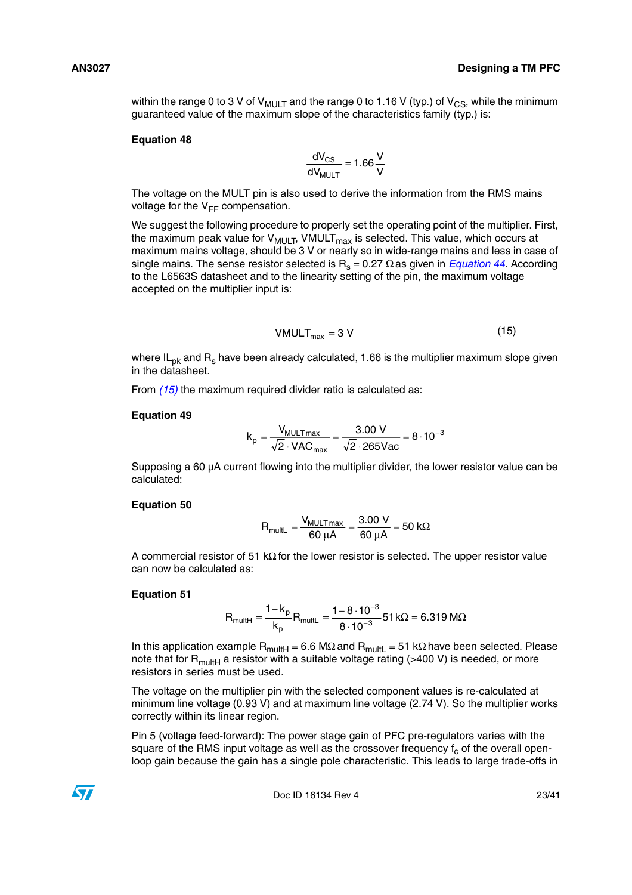within the range 0 to 3 V of  $V_{\text{MUIT}}$  and the range 0 to 1.16 V (typ.) of  $V_{\text{CS}}$ , while the minimum guaranteed value of the maximum slope of the characteristics family (typ.) is:

#### **Equation 48**

$$
\frac{dV_{CS}}{dV_{MULT}} = 1.66 \frac{V}{V}
$$

The voltage on the MULT pin is also used to derive the information from the RMS mains voltage for the  $V_{FF}$  compensation.

We suggest the following procedure to properly set the operating point of the multiplier. First, the maximum peak value for  $V_{MULT}$ , VMULT<sub>max</sub> is selected. This value, which occurs at maximum mains voltage, should be 3 V or nearly so in wide-range mains and less in case of single mains[.](#page-20-3) The sense resistor selected is  $R_s = 0.27 \Omega$  as given in *[Equation 44](#page-20-3)*. According to the L6563S datasheet and to the linearity setting of the pin, the maximum voltage accepted on the multiplier input is:

<span id="page-22-0"></span>
$$
VMULT_{max} = 3 V \tag{15}
$$

where IL<sub>pk</sub> and R<sub>s</sub> have been already calculated, 1.66 is the multiplier maximum slope given in the datasheet.

From *[\(15\)](#page-22-0)* the maximum required divider ratio is calculated as:

### **Equation 49**

$$
k_{p} = \frac{V_{MULTmax}}{\sqrt{2} \cdot VAC_{max}} = \frac{3.00 \text{ V}}{\sqrt{2} \cdot 265 \text{Vac}} = 8 \cdot 10^{-3}
$$

Supposing a 60 µA current flowing into the multiplier divider, the lower resistor value can be calculated:

### **Equation 50**

$$
R_{multL} = \frac{V_{MULTmax}}{60 \mu A} = \frac{3.00 \text{ V}}{60 \mu A} = 50 \text{ k}\Omega
$$

A commercial resistor of 51 kΩ for the lower resistor is selected. The upper resistor value can now be calculated as:

### **Equation 51**

$$
R_{\text{multi}} = \frac{1 - k_{p}}{k_{p}} R_{\text{multi}} = \frac{1 - 8 \cdot 10^{-3}}{8 \cdot 10^{-3}} 51 k\Omega = 6.319 M\Omega
$$

In this application example R<sub>multH</sub> = 6.6 MΩ and R<sub>multL</sub> = 51 kΩ have been selected. Please note that for  $R_{multi}$  a resistor with a suitable voltage rating (>400 V) is needed, or more resistors in series must be used.

The voltage on the multiplier pin with the selected component values is re-calculated at minimum line voltage (0.93 V) and at maximum line voltage (2.74 V). So the multiplier works correctly within its linear region.

Pin 5 (voltage feed-forward): The power stage gain of PFC pre-regulators varies with the square of the RMS input voltage as well as the crossover frequency  $f_c$  of the overall openloop gain because the gain has a single pole characteristic. This leads to large trade-offs in

Doc ID 16134 Rev 4 23/41

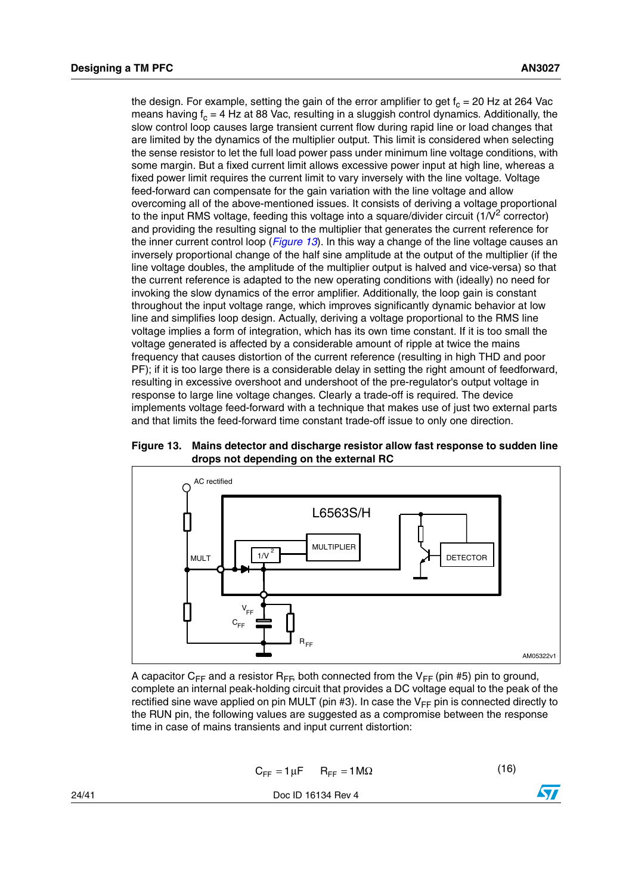the design. For example, setting the gain of the error amplifier to get  $f_c = 20$  Hz at 264 Vac means having  $f_c = 4$  Hz at 88 Vac, resulting in a sluggish control dynamics. Additionally, the slow control loop causes large transient current flow during rapid line or load changes that are limited by the dynamics of the multiplier output. This limit is considered when selecting the sense resistor to let the full load power pass under minimum line voltage conditions, with some margin. But a fixed current limit allows excessive power input at high line, whereas a fixed power limit requires the current limit to vary inversely with the line voltage. Voltage feed-forward can compensate for the gain variation with the line voltage and allow overcoming all of the above-mentioned issues. It consists of deriving a voltage proportional to the input RMS voltage, feeding this voltage into a square/divider circuit  $(1/V^2$  corrector) and providing the resulting signal to the multiplier that generates the current reference for the inner current control loop (*[Figure 13](#page-23-0)*). In this way a change of the line voltage causes an inversely proportional change of the half sine amplitude at the output of the multiplier (if the line voltage doubles, the amplitude of the multiplier output is halved and vice-versa) so that the current reference is adapted to the new operating conditions with (ideally) no need for invoking the slow dynamics of the error amplifier. Additionally, the loop gain is constant throughout the input voltage range, which improves significantly dynamic behavior at low line and simplifies loop design. Actually, deriving a voltage proportional to the RMS line voltage implies a form of integration, which has its own time constant. If it is too small the voltage generated is affected by a considerable amount of ripple at twice the mains frequency that causes distortion of the current reference (resulting in high THD and poor PF); if it is too large there is a considerable delay in setting the right amount of feedforward, resulting in excessive overshoot and undershoot of the pre-regulator's output voltage in response to large line voltage changes. Clearly a trade-off is required. The device implements voltage feed-forward with a technique that makes use of just two external parts and that limits the feed-forward time constant trade-off issue to only one direction.

<span id="page-23-0"></span>



A capacitor C<sub>FF</sub> and a resistor R<sub>FF</sub>, both connected from the V<sub>FF</sub> (pin #5) pin to ground, complete an internal peak-holding circuit that provides a DC voltage equal to the peak of the rectified sine wave applied on pin MULT (pin #3). In case the  $V_{FF}$  pin is connected directly to the RUN pin, the following values are suggested as a compromise between the response time in case of mains transients and input current distortion:

<span id="page-23-1"></span>
$$
C_{FF} = 1 \mu F \qquad R_{FF} = 1 M \Omega \tag{16}
$$

24/41 Doc ID 16134 Rev 4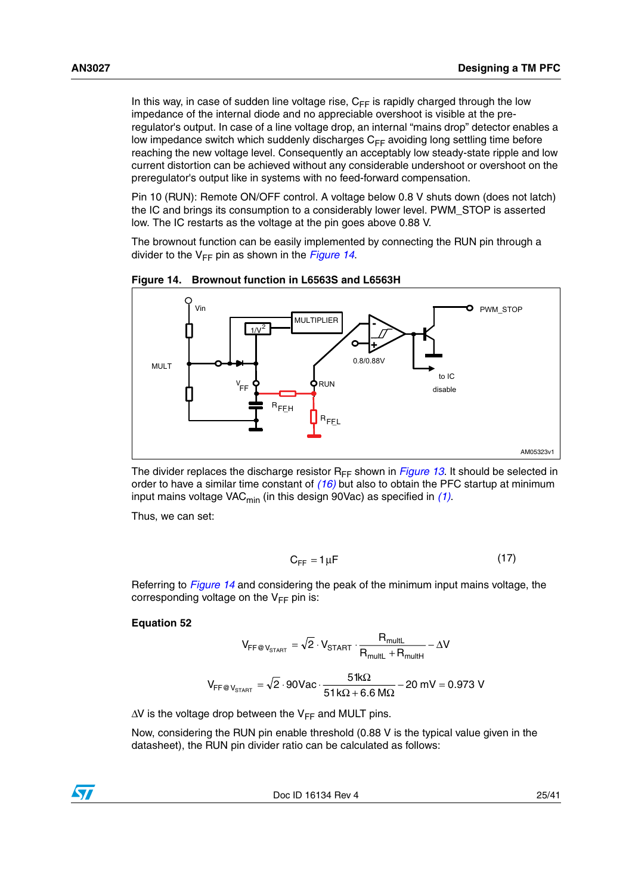In this way, in case of sudden line voltage rise,  $C_{FF}$  is rapidly charged through the low impedance of the internal diode and no appreciable overshoot is visible at the preregulator's output. In case of a line voltage drop, an internal "mains drop" detector enables a low impedance switch which suddenly discharges  $C_{FE}$  avoiding long settling time before reaching the new voltage level. Consequently an acceptably low steady-state ripple and low current distortion can be achieved without any considerable undershoot or overshoot on the preregulator's output like in systems with no feed-forward compensation.

Pin 10 (RUN): Remote ON/OFF control. A voltage below 0.8 V shuts down (does not latch) the IC and brings its consumption to a considerably lower level. PWM\_STOP is asserted low. The IC restarts as the voltage at the pin goes above 0.88 V.

The brownout function can be easily implemented by connecting the RUN pin through a divider to the  $V_{FF}$  pin as shown in the *[Figure 14](#page-24-0)*.



<span id="page-24-0"></span>**Figure 14. Brownout function in L6563S and L6563H**

The divider replaces the discharge resistor  $R_{FF}$  shown in *[Figure 13](#page-23-0)*. It should be selected in order to have a similar time constant of *[\(16\)](#page-23-1)* but also to obtain the PFC startup at minimum input mains voltage VAC<sub>min</sub> (in this design 90Vac) as specified in [\(1\)](#page-6-4).

Thus, we can set:

$$
C_{FF} = 1 \mu F \tag{17}
$$

Referring to *[Figure 14](#page-24-0)* and considering the peak of the minimum input mains voltage, the corresponding voltage on the  $V_{FF}$  pin is:

## **Equation 52**

$$
V_{FF@V_{STAT}} = \sqrt{2} \cdot V_{STAT} \cdot \frac{R_{multi}}{R_{multi} + R_{multi}} - \Delta V
$$

$$
V_{FF@V_{STAT}} = \sqrt{2} \cdot 90 \text{Vac} \cdot \frac{51 \text{k}\Omega}{51 \text{k}\Omega + 6.6 \text{ M}\Omega} - 20 \text{ mV} = 0.973 \text{ V}
$$

 $\Delta V$  is the voltage drop between the V<sub>FF</sub> and MULT pins.

Now, considering the RUN pin enable threshold (0.88 V is the typical value given in the datasheet), the RUN pin divider ratio can be calculated as follows:

Doc ID 16134 Rev 4 25/41

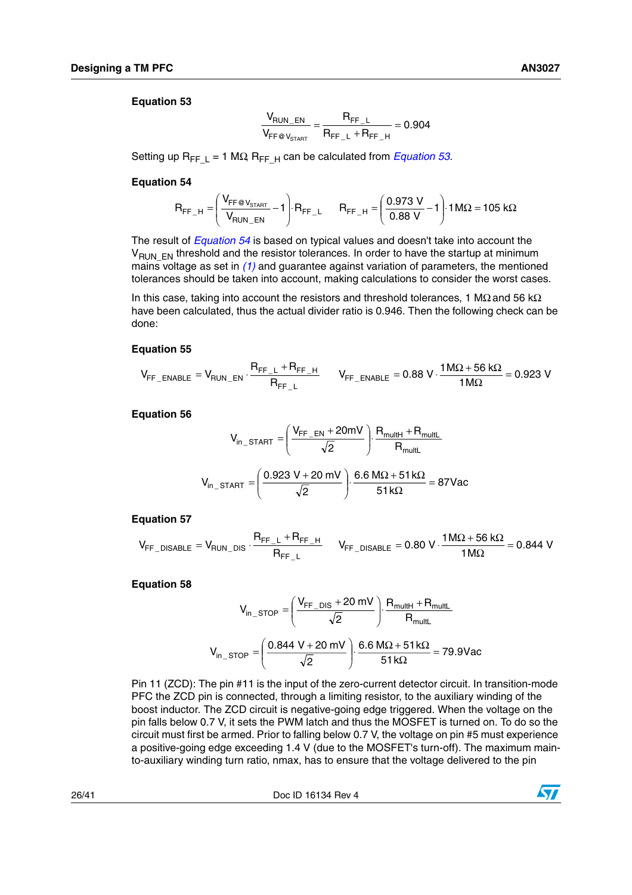## <span id="page-25-0"></span>**Equation 53**

$$
\frac{V_{RUN\_EN}}{V_{FF@V_{STAT}}} = \frac{R_{FF\_L}}{R_{FF\_L} + R_{FF\_H}} = 0.904
$$

Setting up R<sub>FF L</sub> = 1 MΩ, R<sub>FF H</sub> can be calculated from *[Equation 53](#page-25-0)*.

### <span id="page-25-1"></span>**Equation 54**

$$
R_{FF\_H}=\left(\frac{V_{FF\text{C}}V_{\text{STAT}}}{V_{RUN\_EN}}-1\right)\cdot R_{FF\_L} \qquad R_{FF\_H}=\left(\frac{0.973\text{ V}}{0.88\text{ V}}-1\right)\cdot 1\text{ M}\Omega=105\text{ k}\Omega
$$

The result of *[Equation 54](#page-25-1)* is based on typical values and doesn't take into account the  $V_{\text{RINEN}}$  threshold and the resistor tolerances. In order to have the startup at minimum mains voltage as set in *[\(1\)](#page-6-4)* and guarantee against variation of parameters, the mentioned tolerances should be taken into account, making calculations to consider the worst cases.

In this case, taking into account the resistors and threshold tolerances, 1 M $\Omega$  and 56 k $\Omega$ have been calculated, thus the actual divider ratio is 0.946. Then the following check can be done:

### **Equation 55**

$$
V_{FF\_ENABLE} = V_{RUN\_EN} \cdot \frac{R_{FF\_L} + R_{FF\_H}}{R_{FF\_L}} \qquad V_{FF\_ENABLE} = 0.88 \text{ V} \cdot \frac{1 M \Omega + 56 \text{ k}\Omega}{1 M \Omega} = 0.923 \text{ V}
$$

**Equation 56**

$$
V_{in\_START} = \left(\frac{V_{FF\_EN} + 20mV}{\sqrt{2}}\right) \cdot \frac{R_{multl} + R_{mult}}{R_{multl}}
$$

$$
V_{in\_START} = \left(\frac{0.923 V + 20 mV}{\sqrt{2}}\right) \cdot \frac{6.6 M\Omega + 51 k\Omega}{51 k\Omega} = 87 Vac
$$

### **Equation 57**

 $\mathsf{FF\_L}$  $F_{\text{FF\_DISABLE}} = V_{\text{RUN\_DIS}} \cdot \frac{P_{\text{FF\_L}} + P_{\text{FF\_H}}}{P_{\text{FF\_L}}}$  $V_{FF\_DISABLE} = V_{RUN\_DIS} \cdot \frac{R_{FF\_L} + R_{FF\_H}}{R_{FF\_L}}$   $V_{FF\_DISABLE} = 0.80 \text{ V} \cdot \frac{1 \text{ M}\Omega + 56 \text{ k}\Omega}{1 \text{ M}\Omega} = 0.844 \text{ V}$ 

### **Equation 58**

$$
V_{in\_STOP} = \left(\frac{V_{FF\_DIS} + 20 \text{ mV}}{\sqrt{2}}\right) \cdot \frac{R_{multi} + R_{multi}}{R_{multi}}
$$

$$
V_{in\_STOP} = \left(\frac{0.844 \text{ V} + 20 \text{ mV}}{\sqrt{2}}\right) \cdot \frac{6.6 \text{ M}\Omega + 51 \text{ k}\Omega}{51 \text{ k}\Omega} = 79.9 \text{Vac}
$$

Pin 11 (ZCD): The pin #11 is the input of the zero-current detector circuit. In transition-mode PFC the ZCD pin is connected, through a limiting resistor, to the auxiliary winding of the boost inductor. The ZCD circuit is negative-going edge triggered. When the voltage on the pin falls below 0.7 V, it sets the PWM latch and thus the MOSFET is turned on. To do so the circuit must first be armed. Prior to falling below 0.7 V, the voltage on pin #5 must experience a positive-going edge exceeding 1.4 V (due to the MOSFET's turn-off). The maximum mainto-auxiliary winding turn ratio, nmax, has to ensure that the voltage delivered to the pin

26/41 Doc ID 16134 Rev 4

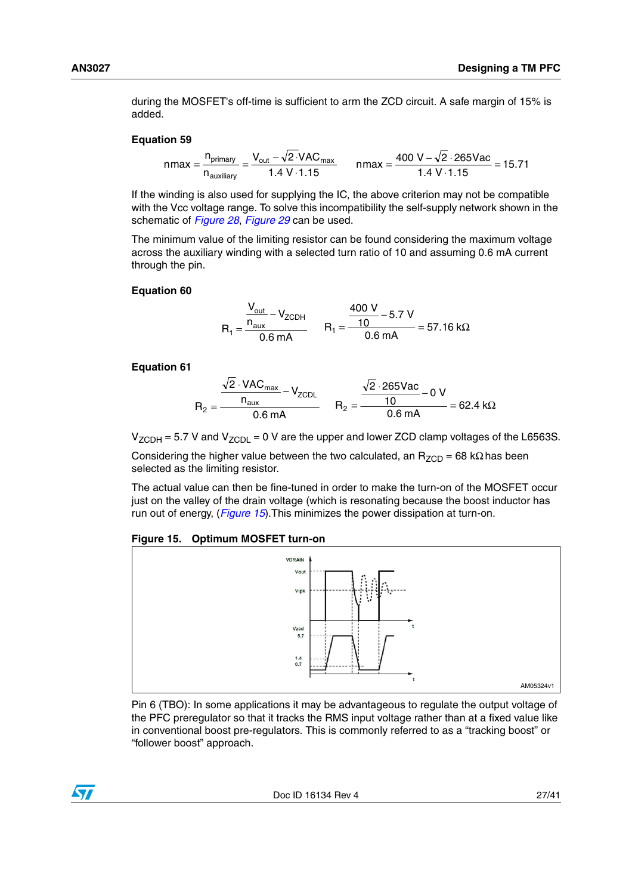during the MOSFET's off-time is sufficient to arm the ZCD circuit. A safe margin of 15% is added.

### **Equation 59**

nmax = 
$$
\frac{n_{\text{primary}}}{n_{\text{auxiliary}}} = \frac{V_{\text{out}} - \sqrt{2} \cdot \text{VAC}_{\text{max}}}{1.4 \text{ V} \cdot 1.15}
$$
 nmax =  $\frac{400 \text{ V} - \sqrt{2} \cdot 265 \text{Vac}}{1.4 \text{ V} \cdot 1.15}$  = 15.71

If the winding is also used for supplying the IC, the above criterion may not be compatible with the Vcc voltage range. To solve this incompatibility the self-supply network shown in the schematic of *[Figure 28](#page-36-1)*, *[Figure 29](#page-37-0)* can be used.

The minimum value of the limiting resistor can be found considering the maximum voltage across the auxiliary winding with a selected turn ratio of 10 and assuming 0.6 mA current through the pin.

### **Equation 60**

$$
R_1 = \frac{\frac{V_{out}}{n_{aux}} - V_{ZCDH}}{0.6 \text{ mA}} \qquad R_1 = \frac{\frac{400 \text{ V}}{10} - 5.7 \text{ V}}{0.6 \text{ mA}} = 57.16 \text{ k}\Omega
$$

### **Equation 61**

$$
R_2 = \frac{\frac{\sqrt{2} \cdot \text{VAC}_{\text{max}}}{n_{\text{aux}}} - V_{\text{ZCDL}}}{0.6 \text{ mA}} \qquad R_2 = \frac{\frac{\sqrt{2} \cdot 265 \text{Vac}}{10} - 0 \text{ V}}{0.6 \text{ mA}} = 62.4 \text{ k}\Omega
$$

 $V_{ZCDH}$  = 5.7 V and  $V_{ZCDL}$  = 0 V are the upper and lower ZCD clamp voltages of the L6563S.

Considering the higher value between the two calculated, an  $R_{ZCD}$  = 68 k $\Omega$  has been selected as the limiting resistor.

The actual value can then be fine-tuned in order to make the turn-on of the MOSFET occur just on the valley of the drain voltage (which is resonating because the boost inductor has run out of energy, (*[Figure 15](#page-26-0)*).This minimizes the power dissipation at turn-on.

### <span id="page-26-0"></span>**Figure 15. Optimum MOSFET turn-on**



Pin 6 (TBO): In some applications it may be advantageous to regulate the output voltage of the PFC preregulator so that it tracks the RMS input voltage rather than at a fixed value like in conventional boost pre-regulators. This is commonly referred to as a "tracking boost" or "follower boost" approach.

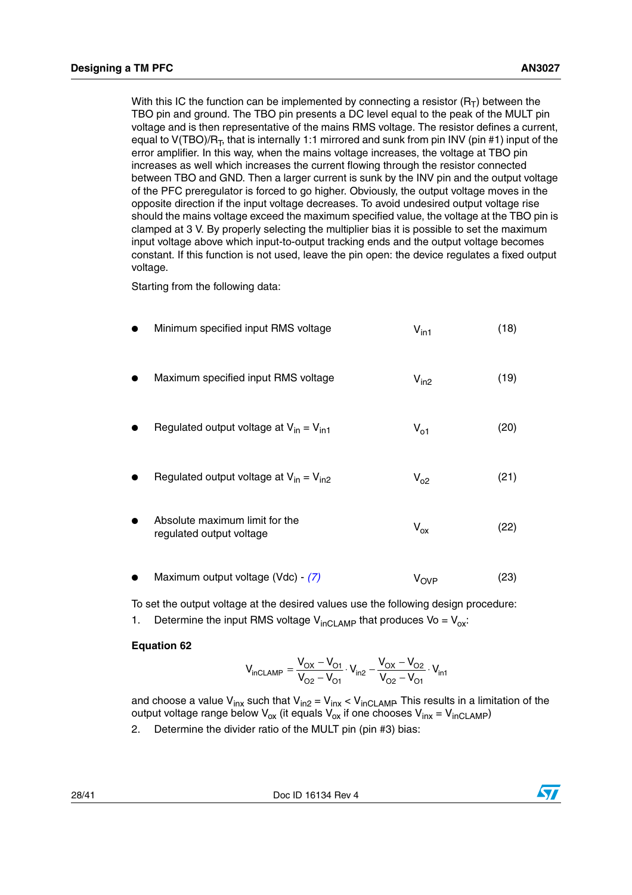With this IC the function can be implemented by connecting a resistor  $(R_T)$  between the TBO pin and ground. The TBO pin presents a DC level equal to the peak of the MULT pin voltage and is then representative of the mains RMS voltage. The resistor defines a current, equal to  $V(TBO)/R_T$ , that is internally 1:1 mirrored and sunk from pin INV (pin #1) input of the error amplifier. In this way, when the mains voltage increases, the voltage at TBO pin increases as well which increases the current flowing through the resistor connected between TBO and GND. Then a larger current is sunk by the INV pin and the output voltage of the PFC preregulator is forced to go higher. Obviously, the output voltage moves in the opposite direction if the input voltage decreases. To avoid undesired output voltage rise should the mains voltage exceed the maximum specified value, the voltage at the TBO pin is clamped at 3 V. By properly selecting the multiplier bias it is possible to set the maximum input voltage above which input-to-output tracking ends and the output voltage becomes constant. If this function is not used, leave the pin open: the device regulates a fixed output voltage.

Starting from the following data:

| Minimum specified input RMS voltage                        | $V_{\text{in1}}$       | (18) |
|------------------------------------------------------------|------------------------|------|
| Maximum specified input RMS voltage                        | $V_{in2}$              | (19) |
| Regulated output voltage at $V_{in} = V_{in1}$             | $V_{01}$               | (20) |
| Regulated output voltage at $V_{in} = V_{in2}$             | $V_{02}$               | (21) |
| Absolute maximum limit for the<br>regulated output voltage | $V_{ox}$               | (22) |
| Maximum output voltage (Vdc) - (7)                         | <b>V<sub>OVP</sub></b> | (23) |

To set the output voltage at the desired values use the following design procedure:

1. Determine the input RMS voltage  $V_{\text{inCLAMP}}$  that produces  $V_0 = V_{\text{ox}}$ :

## **Equation 62**

$$
V_{inCLAMP} = \frac{V_{OX} - V_{O1}}{V_{O2} - V_{O1}} \cdot V_{in2} - \frac{V_{OX} - V_{O2}}{V_{O2} - V_{O1}} \cdot V_{in1}
$$

and choose a value V<sub>inx</sub> such that V<sub>in2</sub> = V<sub>inx</sub> < V<sub>inCLAMP</sub> This results in a limitation of the output voltage range below V<sub>ox</sub> (it equals V<sub>ox</sub> if one chooses V<sub>inx</sub> = V<sub>inCLAMP</sub>)

2. Determine the divider ratio of the MULT pin (pin #3) bias:

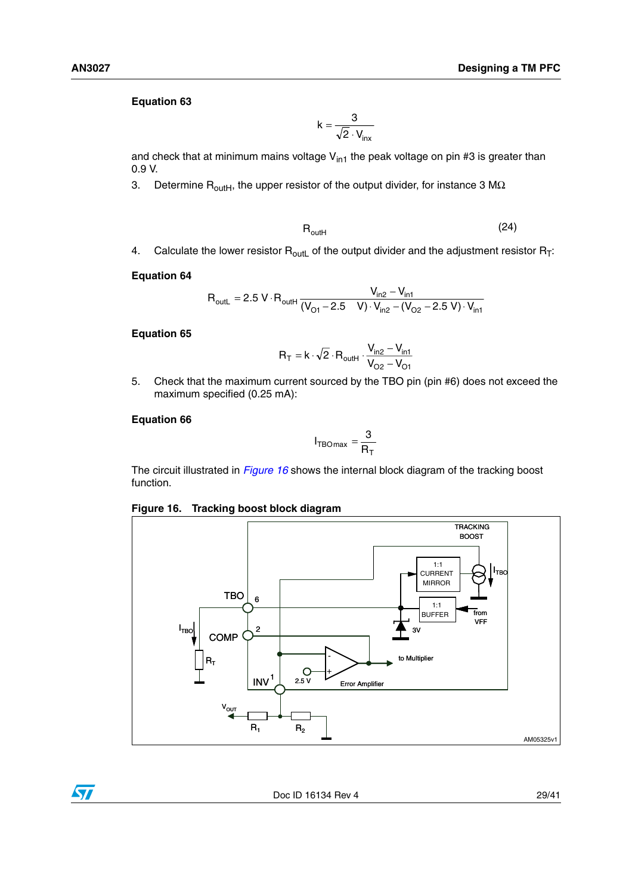# **Equation 63**

$$
k = \frac{3}{\sqrt{2} \cdot V_{inx}}
$$

and check that at minimum mains voltage  $V_{in1}$  the peak voltage on pin #3 is greater than 0.9 V.

3. Determine  $R_{\text{outH}}$ , the upper resistor of the output divider, for instance 3 M $\Omega$ .

$$
R_{\text{outH}} \tag{24}
$$

4. Calculate the lower resistor  $R_{\text{out}}$  of the output divider and the adjustment resistor  $R_{\text{T}}$ :

### **Equation 64**

$$
R_{\text{outL}} = 2.5 \text{ V} \cdot R_{\text{outH}} \frac{V_{\text{in2}} - V_{\text{in1}}}{(V_{\text{O1}} - 2.5 \text{ V}) \cdot V_{\text{in2}} - (V_{\text{O2}} - 2.5 \text{ V}) \cdot V_{\text{in1}}}
$$

# **Equation 65**

$$
R_T = k \cdot \sqrt{2} \cdot R_{\text{outH}} \cdot \frac{V_{\text{in2}} - V_{\text{in1}}}{V_{O2} - V_{O1}}
$$

5. Check that the maximum current sourced by the TBO pin (pin #6) does not exceed the maximum specified (0.25 mA):

## **Equation 66**

$$
I_{\text{TBOmax}} = \frac{3}{R_{\text{T}}}
$$

The circuit illustrated in *[Figure 16](#page-28-0)* shows the internal block diagram of the tracking boost function.

# <span id="page-28-0"></span>**Figure 16. Tracking boost block diagram**



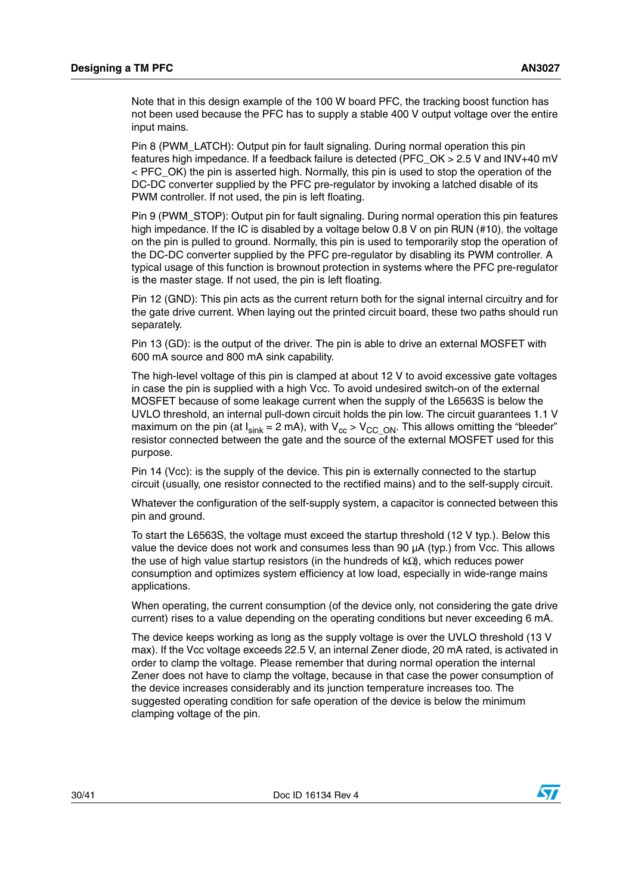Note that in this design example of the 100 W board PFC, the tracking boost function has not been used because the PFC has to supply a stable 400 V output voltage over the entire input mains.

Pin 8 (PWM\_LATCH): Output pin for fault signaling. During normal operation this pin features high impedance. If a feedback failure is detected (PFC\_OK > 2.5 V and INV+40 mV < PFC\_OK) the pin is asserted high. Normally, this pin is used to stop the operation of the DC-DC converter supplied by the PFC pre-regulator by invoking a latched disable of its PWM controller. If not used, the pin is left floating.

Pin 9 (PWM\_STOP): Output pin for fault signaling. During normal operation this pin features high impedance. If the IC is disabled by a voltage below 0.8 V on pin RUN (#10), the voltage on the pin is pulled to ground. Normally, this pin is used to temporarily stop the operation of the DC-DC converter supplied by the PFC pre-regulator by disabling its PWM controller. A typical usage of this function is brownout protection in systems where the PFC pre-regulator is the master stage. If not used, the pin is left floating.

Pin 12 (GND): This pin acts as the current return both for the signal internal circuitry and for the gate drive current. When laying out the printed circuit board, these two paths should run separately.

Pin 13 (GD): is the output of the driver. The pin is able to drive an external MOSFET with 600 mA source and 800 mA sink capability.

The high-level voltage of this pin is clamped at about 12 V to avoid excessive gate voltages in case the pin is supplied with a high Vcc. To avoid undesired switch-on of the external MOSFET because of some leakage current when the supply of the L6563S is below the UVLO threshold, an internal pull-down circuit holds the pin low. The circuit guarantees 1.1 V maximum on the pin (at  $I_{sink} = 2$  mA), with  $V_{cc} > V_{CC_ON}$ . This allows omitting the "bleeder" resistor connected between the gate and the source of the external MOSFET used for this purpose.

Pin 14 (Vcc): is the supply of the device. This pin is externally connected to the startup circuit (usually, one resistor connected to the rectified mains) and to the self-supply circuit.

Whatever the configuration of the self-supply system, a capacitor is connected between this pin and ground.

To start the L6563S, the voltage must exceed the startup threshold (12 V typ.). Below this value the device does not work and consumes less than 90 µA (typ.) from Vcc. This allows the use of high value startup resistors (in the hundreds of kΩ), which reduces power consumption and optimizes system efficiency at low load, especially in wide-range mains applications.

When operating, the current consumption (of the device only, not considering the gate drive current) rises to a value depending on the operating conditions but never exceeding 6 mA.

The device keeps working as long as the supply voltage is over the UVLO threshold (13 V max). If the Vcc voltage exceeds 22.5 V, an internal Zener diode, 20 mA rated, is activated in order to clamp the voltage. Please remember that during normal operation the internal Zener does not have to clamp the voltage, because in that case the power consumption of the device increases considerably and its junction temperature increases too. The suggested operating condition for safe operation of the device is below the minimum clamping voltage of the pin.

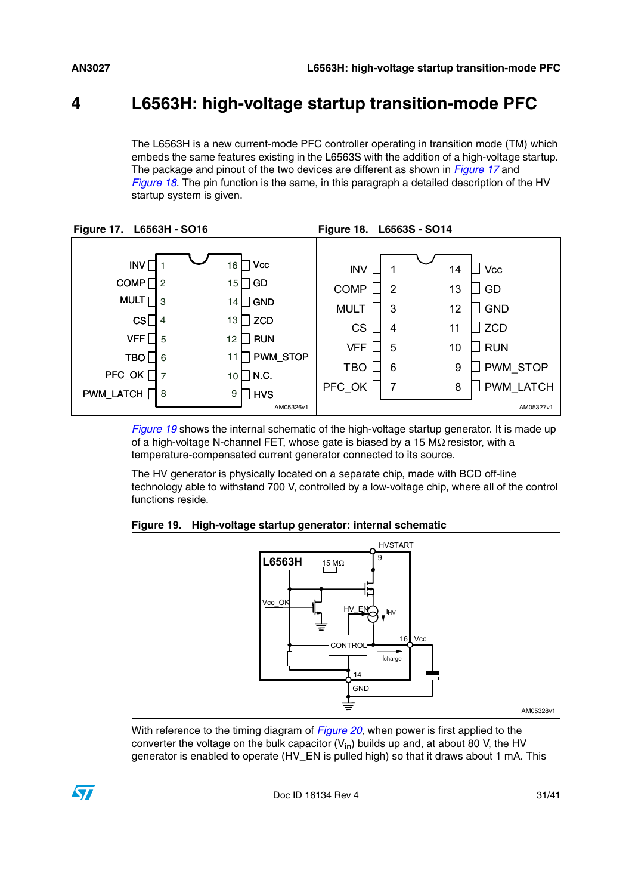# <span id="page-30-0"></span>**4 L6563H: high-voltage startup transition-mode PFC**

<span id="page-30-2"></span>The L6563H is a new current-mode PFC controller operating in transition mode (TM) which embeds the same features existing in the L6563S with the addition of a high-voltage startup. The package and pinout of the two devices are different as shown in *[Figure 17](#page-30-1)* and *[Figure 18](#page-30-2)*. The pin function is the same, in this paragraph a detailed description of the HV startup system is given.

<span id="page-30-1"></span>

*[Figure 19](#page-30-3)* shows the internal schematic of the high-voltage startup generator. It is made up of a high-voltage N-channel FET, whose gate is biased by a 15 MΩ resistor, with a temperature-compensated current generator connected to its source.

The HV generator is physically located on a separate chip, made with BCD off-line technology able to withstand 700 V, controlled by a low-voltage chip, where all of the control functions reside.

<span id="page-30-3"></span>**Figure 19. High-voltage startup generator: internal schematic**



With reference to the timing diagram of *[Figure 20](#page-31-0)*, when power is first applied to the converter the voltage on the bulk capacitor  $(V_{in})$  builds up and, at about 80 V, the HV generator is enabled to operate (HV\_EN is pulled high) so that it draws about 1 mA. This

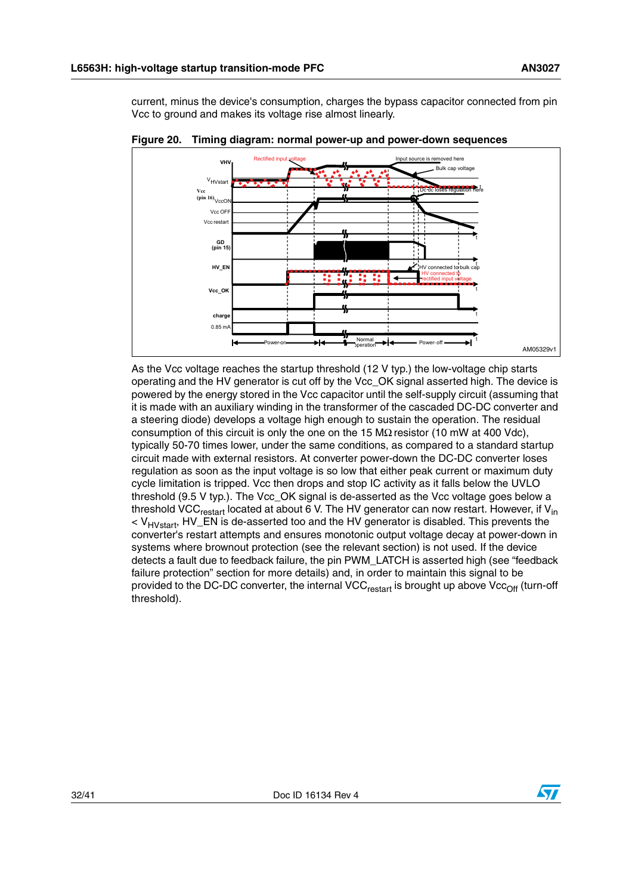current, minus the device's consumption, charges the bypass capacitor connected from pin Vcc to ground and makes its voltage rise almost linearly.



<span id="page-31-0"></span>**Figure 20. Timing diagram: normal power-up and power-down sequences**

As the Vcc voltage reaches the startup threshold (12 V typ.) the low-voltage chip starts operating and the HV generator is cut off by the Vcc\_OK signal asserted high. The device is powered by the energy stored in the Vcc capacitor until the self-supply circuit (assuming that it is made with an auxiliary winding in the transformer of the cascaded DC-DC converter and a steering diode) develops a voltage high enough to sustain the operation. The residual consumption of this circuit is only the one on the 15 MΩ resistor (10 mW at 400 Vdc), typically 50-70 times lower, under the same conditions, as compared to a standard startup circuit made with external resistors. At converter power-down the DC-DC converter loses regulation as soon as the input voltage is so low that either peak current or maximum duty cycle limitation is tripped. Vcc then drops and stop IC activity as it falls below the UVLO threshold (9.5 V typ.). The Vcc\_OK signal is de-asserted as the Vcc voltage goes below a threshold VCC<sub>restart</sub> located at about 6 V. The HV generator can now restart. However, if V<sub>in</sub>  $V_{HVstart}$ , HV\_EN is de-asserted too and the HV generator is disabled. This prevents the converter's restart attempts and ensures monotonic output voltage decay at power-down in systems where brownout protection (see the relevant section) is not used. If the device detects a fault due to feedback failure, the pin PWM\_LATCH is asserted high (see "feedback failure protection" section for more details) and, in order to maintain this signal to be provided to the DC-DC converter, the internal VCC $_{\text{restart}}$  is brought up above Vcc<sub>Off</sub> (turn-off threshold).

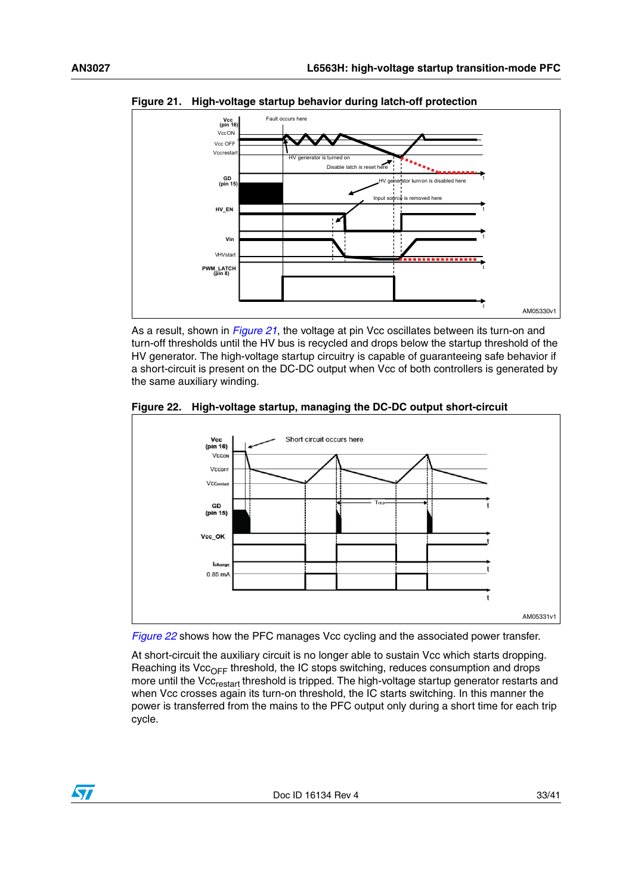<span id="page-32-0"></span>

As a result, shown in *[Figure 21](#page-32-0)*, the voltage at pin Vcc oscillates between its turn-on and turn-off thresholds until the HV bus is recycled and drops below the startup threshold of the HV generator. The high-voltage startup circuitry is capable of guaranteeing safe behavior if a short-circuit is present on the DC-DC output when Vcc of both controllers is generated by the same auxiliary winding.

<span id="page-32-1"></span>





At short-circuit the auxiliary circuit is no longer able to sustain Vcc which starts dropping. Reaching its Vcc<sub>OFF</sub> threshold, the IC stops switching, reduces consumption and drops more until the Vcc<sub>restart</sub> threshold is tripped. The high-voltage startup generator restarts and when Vcc crosses again its turn-on threshold, the IC starts switching. In this manner the power is transferred from the mains to the PFC output only during a short time for each trip cycle.

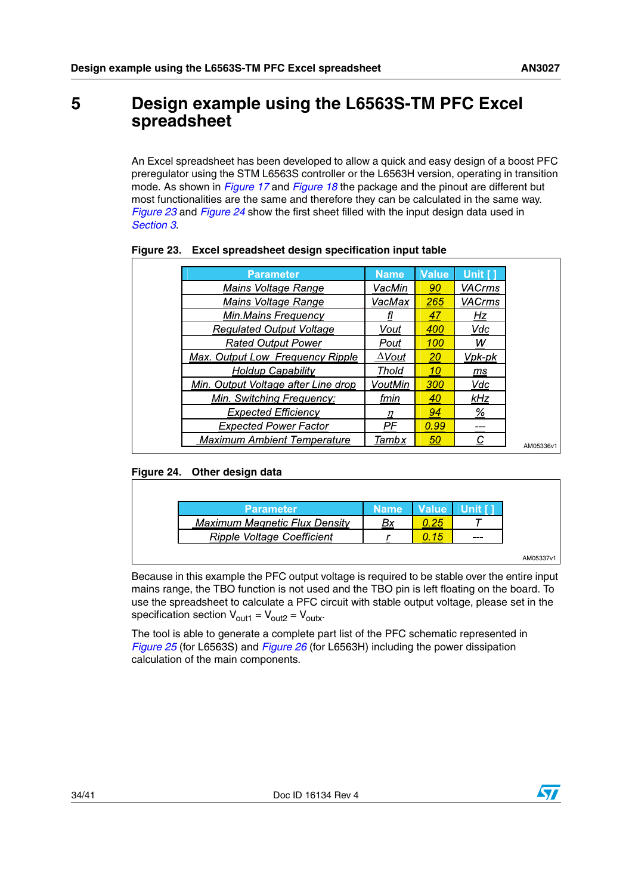# <span id="page-33-0"></span>**5 Design example using the L6563S-TM PFC Excel spreadsheet**

An Excel spreadsheet has been developed to allow a quick and easy design of a boost PFC preregulator using the STM L6563S controller or the L6563H version, operating in transition mode. As shown in *[Figure 17](#page-30-1)* and *[Figure 18](#page-30-2)* the package and the pinout are different but most functionalities are the same and therefore they can be calculated in the same way. *[Figure 23](#page-33-1)* and *[Figure 24](#page-33-2)* show the first sheet filled with the input design data used in *[Section 3](#page-6-0)*.

| <b>Parameter</b>                    | <b>Name</b>   | <b>Value</b> | Unit [1]        |
|-------------------------------------|---------------|--------------|-----------------|
| Mains Voltage Range                 | VacMin        | 90           | <b>VACrms</b>   |
| Mains Voltage Range                 | VacMax        | 265          | <b>VACrms</b>   |
| Min.Mains Frequency                 |               | 47           | Hz              |
| <b>Regulated Output Voltage</b>     | Vout          | 400          | Vdc             |
| <b>Rated Output Power</b>           | Pout          | 100          | w               |
| Max. Output Low Frequency Ripple    | $\Delta$ Vout | <b>20</b>    | Vpk-pk          |
| Holdup Capability                   | Thold         | 10           | ms              |
| Min. Output Voltage after Line drop | VoutMin       | 300          | Vdc             |
| Min. Switching Frequency:           | fmin          | 40           | kHz             |
| <b>Expected Efficiency</b>          | η             | 94           | $\frac{\%}{\%}$ |
| <b>Expected Power Factor</b>        | PF            | 0.99         |                 |
| <b>Maximum Ambient Temperature</b>  | Tambx         | 50           | C               |

# <span id="page-33-1"></span>**Figure 23. Excel spreadsheet design specification input table**

# <span id="page-33-2"></span>**Figure 24. Other design data**

| <b>Parameter</b>              | <b>Name</b> | Value | Unit [1 |
|-------------------------------|-------------|-------|---------|
| Maximum Magnetic Flux Density |             |       |         |
| Ripple Voltage Coefficient    |             |       | ---     |

Because in this example the PFC output voltage is required to be stable over the entire input mains range, the TBO function is not used and the TBO pin is left floating on the board. To use the spreadsheet to calculate a PFC circuit with stable output voltage, please set in the specification section  $V_{\text{out1}} = V_{\text{out2}} = V_{\text{outx}}$ .

The tool is able to generate a complete part list of the PFC schematic represented in *[Figure 25](#page-34-0)* (for L6563S) and *[Figure 26](#page-34-1)* (for L6563H) including the power dissipation calculation of the main components.

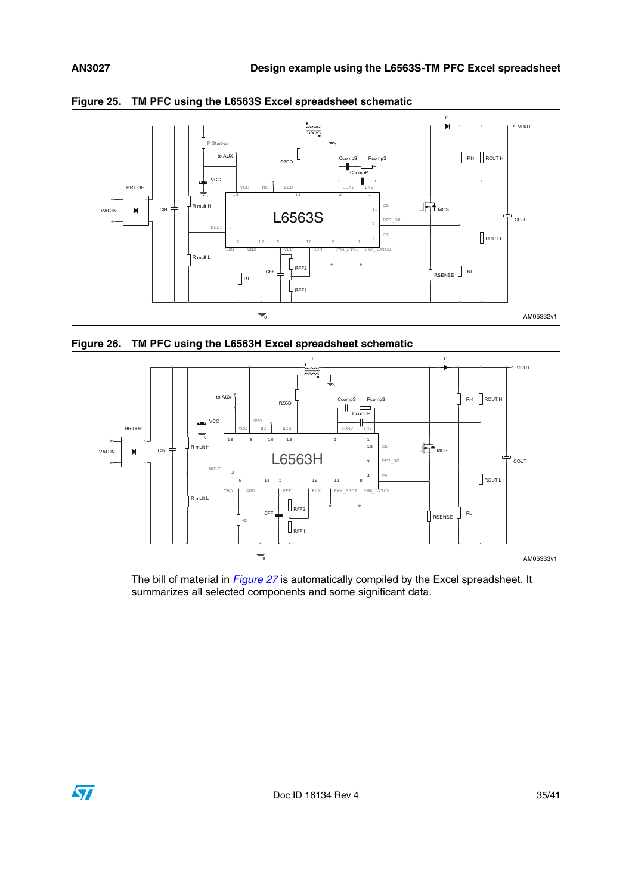

<span id="page-34-0"></span>

<span id="page-34-1"></span>



The bill of material in *[Figure 27](#page-35-0)* is automatically compiled by the Excel spreadsheet. It summarizes all selected components and some significant data.

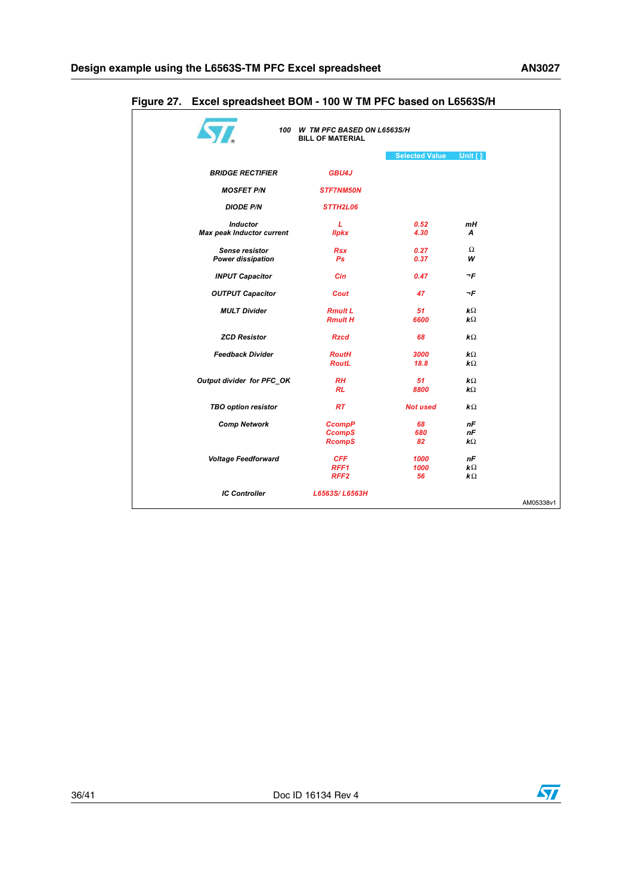|                                  | 100 W TM PFC BASED ON L6563S/H<br><b>BILL OF MATERIAL</b> |                       |                       |
|----------------------------------|-----------------------------------------------------------|-----------------------|-----------------------|
|                                  |                                                           | <b>Selected Value</b> | Unit $[1]$            |
| <b>BRIDGE RECTIFIER</b>          | GBU4J                                                     |                       |                       |
| <b>MOSFET P/N</b>                | <b>STF7NM50N</b>                                          |                       |                       |
| <b>DIODE P/N</b>                 | STTH2L06                                                  |                       |                       |
| <b>Inductor</b>                  | L                                                         | 0.52                  | mН                    |
| <b>Max peak Inductor current</b> | <b>Ilpkx</b>                                              | 4.30                  | A                     |
| Sense resistor                   | <b>Rsx</b>                                                | 0.27                  | Ω                     |
| <b>Power dissipation</b>         | Ps                                                        | 0.37                  | w                     |
| <b>INPUT Capacitor</b>           | Cin                                                       | 0.47                  | ¬F                    |
| <b>OUTPUT Capacitor</b>          | Cout                                                      | 47                    | ¬F                    |
| <b>MULT Divider</b>              | <b>Rmult L</b>                                            | 51                    | kΩ                    |
|                                  | <b>Rmult H</b>                                            | 6600                  | $k\Omega$             |
| <b>ZCD Resistor</b>              | <b>Rzcd</b>                                               | 68                    | $\mathbf{k}$ Ω        |
| <b>Feedback Divider</b>          | <b>RoutH</b>                                              | 3000                  | $\mathbf{k}$ Ω        |
|                                  | <b>RoutL</b>                                              | 18.8                  | $\mathbf{k}$ Ω        |
| Output divider for PFC OK        | <b>RH</b>                                                 | 51                    | $\mathbf{k}$ Ω        |
|                                  | <b>RL</b>                                                 | 8800                  | $k\Omega$             |
| <b>TBO option resistor</b>       | <b>RT</b>                                                 | <b>Not used</b>       | $\mathbf{k} \Omega$   |
| <b>Comp Network</b>              | <b>CcompP</b>                                             | 68                    | nF                    |
|                                  | <b>CcompS</b>                                             | 680                   | пF                    |
|                                  | <b>RcompS</b>                                             | 82                    | $\mathbf{k}$ $\Omega$ |
| <b>Voltage Feedforward</b>       | <b>CFF</b>                                                | 1000                  | nF                    |
|                                  | RFF1                                                      | 1000                  | $\mathbf{k} \Omega$   |
|                                  | RFF <sub>2</sub>                                          | 56                    | $\mathbf{k}$ $\Omega$ |
| <b>IC Controller</b>             | L6563S/L6563H                                             |                       |                       |

# <span id="page-35-0"></span>**Figure 27. Excel spreadsheet BOM - 100 W TM PFC based on L6563S/H**

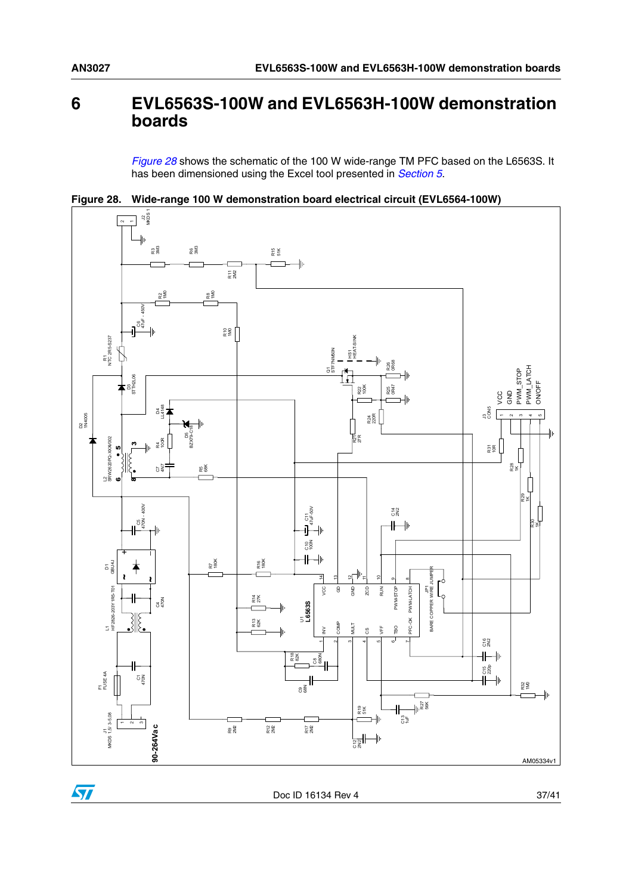# <span id="page-36-0"></span>**6 EVL6563S-100W and EVL6563H-100W demonstration boards**

*[Figure 28](#page-36-1)* shows the schematic of the 100 W wide-range TM PFC based on the L6563S. It has been dimensioned using the Excel tool presented in *[Section 5](#page-33-0)*.

<span id="page-36-1"></span>**Figure 28. Wide-range 100 W demonstration board electrical circuit (EVL6564-100W)**



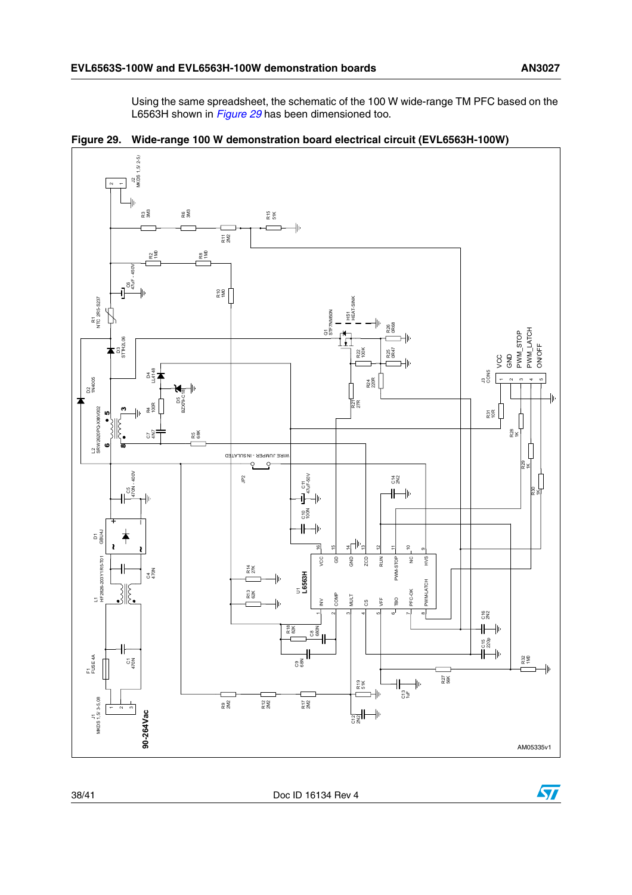Using the same spreadsheet, the schematic of the 100 W wide-range TM PFC based on the L6563H shown in *[Figure 29](#page-37-0)* has been dimensioned too.

<span id="page-37-0"></span>



38/41 Doc ID 16134 Rev 4

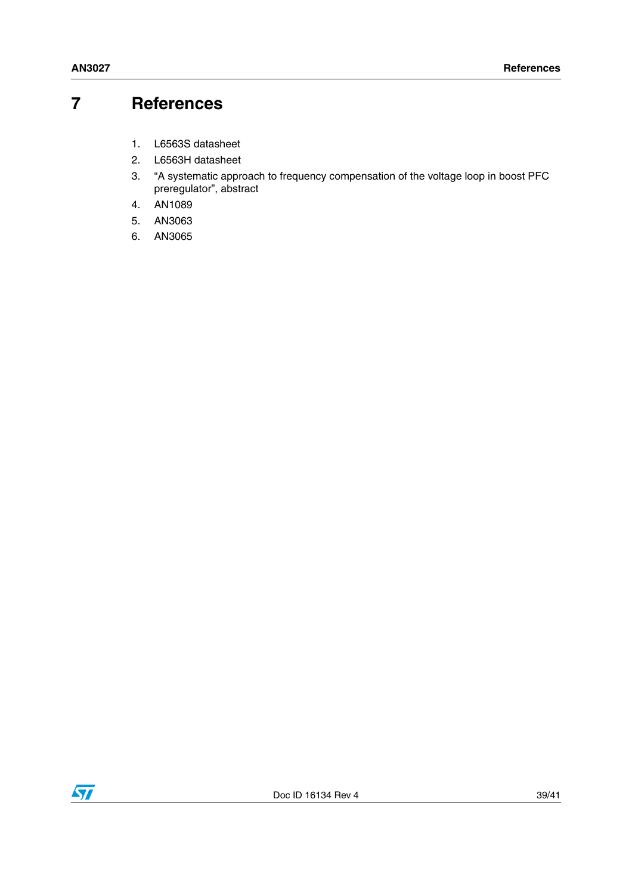# <span id="page-38-0"></span>**7 References**

- 1. L6563S datasheet
- <span id="page-38-1"></span>2. L6563H datasheet
- <span id="page-38-2"></span>3. "A systematic approach to frequency compensation of the voltage loop in boost PFC preregulator", abstract
- 4. AN1089
- 5. AN3063
- 6. AN3065

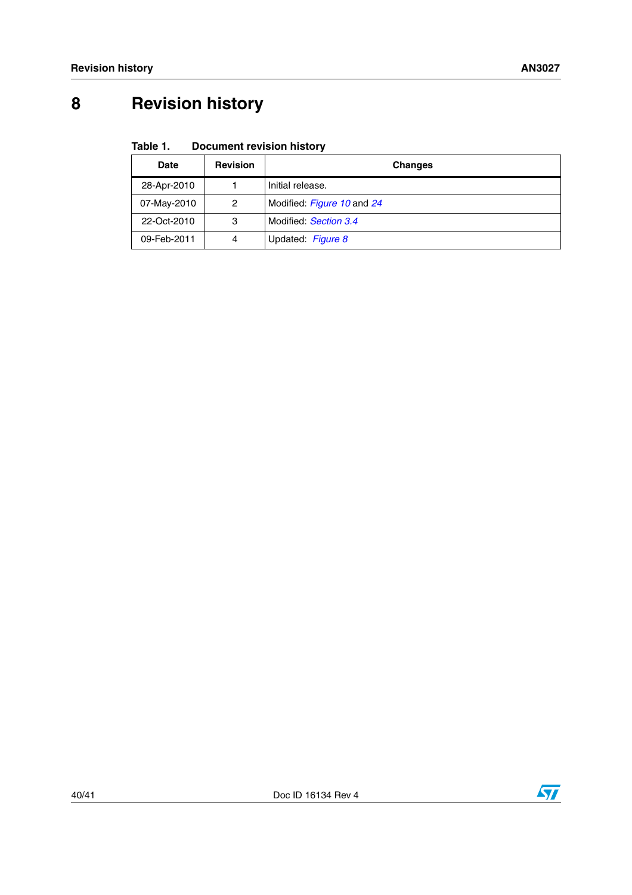# <span id="page-39-0"></span>**8 Revision history**

#### Table 1. **Document revision history**

| Date        | <b>Revision</b> | Changes                    |
|-------------|-----------------|----------------------------|
| 28-Apr-2010 |                 | Initial release.           |
| 07-May-2010 | 2               | Modified: Figure 10 and 24 |
| 22-Oct-2010 | 3               | Modified: Section 3.4      |
| 09-Feb-2011 | 4               | Updated: Figure 8          |